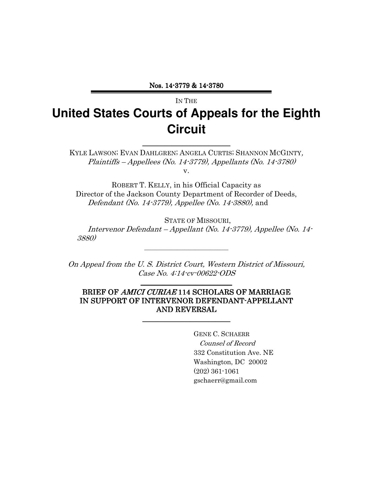Nos. 14-3779 & 14 3779 & 14-3780

# IN THE **United States Courts of Appeals for the Eighth Circuit**

KYLE LAWSON; EVAN DAHLGREN; ANGELA CURTIS; SHANNON MCGINTY, Plaintiffs – Appellees (No. 14-3779), Appellants (No. 14-3780) v.

\_\_\_\_\_\_\_\_\_\_\_\_\_\_\_\_\_\_\_\_\_\_\_\_ \_\_\_\_\_\_\_\_\_\_\_\_\_\_\_\_\_\_\_\_\_\_\_\_

ROBERT T. KELLY, in his Official Capacity as Director of the Jackson County Department of Recorder of Deeds, Defendant (No. 14-3779), Appellee (No. 14-3880), and

STATE OF MISSOURI, Intervenor Defendant – Appellant (No. 14-3779), Appellee (No. 14- 3880)

On Appeal from the U. S. District Court, Western District of Missouri, Case No. 4:14-cv-00622-ODS

\_\_\_\_\_\_\_\_\_\_\_\_\_\_\_\_\_\_\_\_\_\_\_\_\_ \_\_\_\_\_\_\_\_\_\_\_\_\_\_\_\_\_

 $\overline{\phantom{a}}$  , where  $\overline{\phantom{a}}$  , where  $\overline{\phantom{a}}$  , where  $\overline{\phantom{a}}$ 

#### BRIEF OF AMICI CURIAE 114 SCHOLARS OF MARRIAGE IN SUPPORT OF INTERVENOR DEFENDANT-APPELLANT AND REVERSAL

\_\_\_\_\_\_\_\_\_\_\_\_\_\_\_\_\_\_\_\_\_ \_\_\_\_\_\_\_\_\_\_\_\_\_\_\_\_\_\_\_

GENE C. SCHAERR Counsel of Record 332 Constitution Ave. NE Washington, DC 20002 (202) 361-1061 gschaerr@gmail.com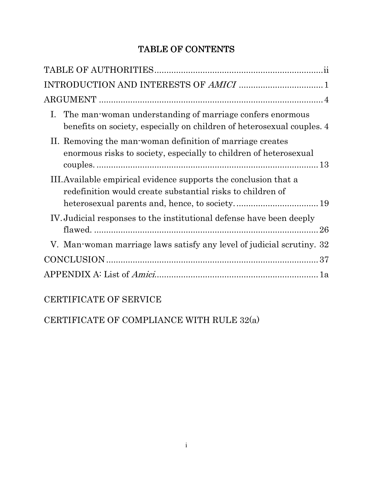# TABLE OF CONTENTS

| I. The man-woman understanding of marriage confers enormous<br>benefits on society, especially on children of heterosexual couples. 4 |
|---------------------------------------------------------------------------------------------------------------------------------------|
| II. Removing the man-woman definition of marriage creates<br>enormous risks to society, especially to children of heterosexual        |
| III. Available empirical evidence supports the conclusion that a<br>redefinition would create substantial risks to children of        |
| IV. Judicial responses to the institutional defense have been deeply                                                                  |
| V. Man-woman marriage laws satisfy any level of judicial scrutiny. 32                                                                 |
|                                                                                                                                       |
|                                                                                                                                       |

## CERTIFICATE OF SERVICE

CERTIFICATE OF COMPLIANCE WITH RULE 32(a)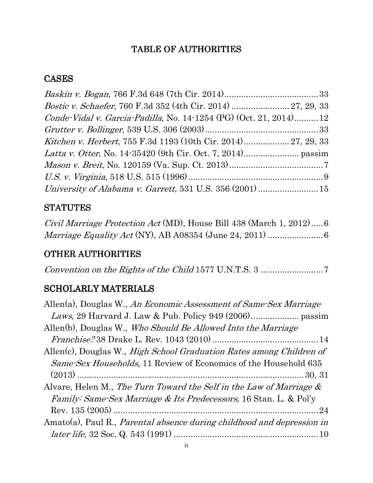## TABLE OF AUTHORITIES

### CASES

| Conde-Vidal v. Garcia-Padilla, No. 14-1254 (PG) (Oct. 21, 2014)12 |  |
|-------------------------------------------------------------------|--|
|                                                                   |  |
| Kitchen v. Herbert, 755 F.3d 1193 (10th Cir. 2014) 27, 29, 33     |  |
|                                                                   |  |
|                                                                   |  |
|                                                                   |  |
|                                                                   |  |

### **STATUTES**

Civil Marriage Protection Act (MD), House Bill 438 (March 1, 2012) ..... 6 Marriage Equality Act (NY), AB A08354 (June 24, 2011) ............................ 6

## **OTHER AUTHORITIES**

Convention on the Rights of the Child 1577 U.N.T.S. 3 .......................... 7

### SCHOLARLY MATERIALS

| Allen(a), Douglas W., An Economic Assessment of Same-Sex Marriage                |
|----------------------------------------------------------------------------------|
|                                                                                  |
| Allen(b), Douglas W., Who Should Be Allowed Into the Marriage                    |
|                                                                                  |
| Allen(c), Douglas W., <i>High School Graduation Rates among Children of</i>      |
| <i>Same Sex Households</i> , 11 Review of Economics of the Household 635         |
|                                                                                  |
| Alvare, Helen M., The Turn Toward the Self in the Law of Marriage &              |
| <i>Family: Same-Sex Marriage &amp; Its Predecessors, 16 Stan. L. &amp; Pol'y</i> |
|                                                                                  |
| Amato(a), Paul R., <i>Parental absence during childhood and depression in</i>    |
|                                                                                  |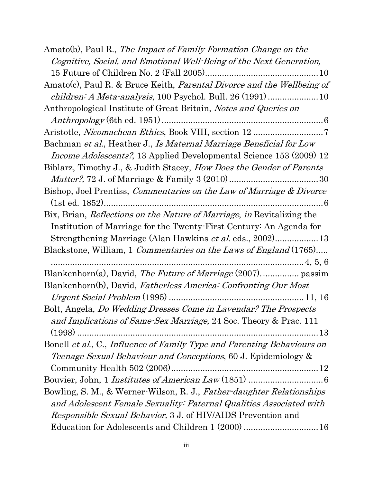| Amato(b), Paul R., The Impact of Family Formation Change on the             |
|-----------------------------------------------------------------------------|
| Cognitive, Social, and Emotional Well-Being of the Next Generation,         |
|                                                                             |
| Amato(c), Paul R. & Bruce Keith, Parental Divorce and the Wellbeing of      |
|                                                                             |
| Anthropological Institute of Great Britain, Notes and Queries on            |
|                                                                             |
|                                                                             |
| Bachman et al., Heather J., Is Maternal Marriage Beneficial for Low         |
| <i>Income Adolescents?</i> , 13 Applied Developmental Science 153 (2009) 12 |
| Biblarz, Timothy J., & Judith Stacey, <i>How Does the Gender of Parents</i> |
|                                                                             |
| Bishop, Joel Prentiss, Commentaries on the Law of Marriage & Divorce        |
| . 6                                                                         |
| Bix, Brian, Reflections on the Nature of Marriage, in Revitalizing the      |
| Institution of Marriage for the Twenty-First Century: An Agenda for         |
| Strengthening Marriage (Alan Hawkins et al. eds., 2002)13                   |
| Blackstone, William, 1 <i>Commentaries on the Laws of England</i> (1765)    |
|                                                                             |
|                                                                             |
| Blankenhorn(b), David, Fatherless America: Confronting Our Most             |
|                                                                             |
| Bolt, Angela, <i>Do Wedding Dresses Come in Lavendar? The Prospects</i>     |
| and Implications of Same-Sex Marriage, 24 Soc. Theory & Prac. 111           |
|                                                                             |
| Bonell et al., C., Influence of Family Type and Parenting Behaviours on     |
| Teenage Sexual Behaviour and Conceptions, 60 J. Epidemiology &              |
|                                                                             |
|                                                                             |
| Bowling, S. M., & Werner-Wilson, R. J., Father-daughter Relationships       |
| and Adolescent Female Sexuality: Paternal Qualities Associated with         |
| <i>Responsible Sexual Behavior, 3 J. of HIV/AIDS Prevention and</i>         |
|                                                                             |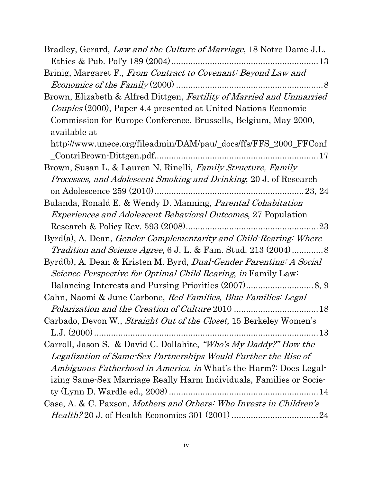| Bradley, Gerard, Law and the Culture of Marriage, 18 Notre Dame J.L.            |
|---------------------------------------------------------------------------------|
|                                                                                 |
| Brinig, Margaret F., From Contract to Covenant: Beyond Law and                  |
|                                                                                 |
| Brown, Elizabeth & Alfred Dittgen, Fertility of Married and Unmarried           |
| <i>Couples</i> (2000), Paper 4.4 presented at United Nations Economic           |
| Commission for Europe Conference, Brussells, Belgium, May 2000,<br>available at |
|                                                                                 |
| http://www.unece.org/fileadmin/DAM/pau/_docs/ffs/FFS_2000_FFConf                |
| Brown, Susan L. & Lauren N. Rinelli, Family Structure, Family                   |
| <i>Processes, and Adolescent Smoking and Drinking, 20 J. of Research</i>        |
|                                                                                 |
| Bulanda, Ronald E. & Wendy D. Manning, Parental Cohabitation                    |
| <i>Experiences and Adolescent Behavioral Outcomes, 27 Population</i>            |
|                                                                                 |
| Byrd(a), A. Dean, Gender Complementarity and Child-Rearing: Where               |
| <i>Tradition and Science Agree, 6 J. L. &amp; Fam. Stud. 213 (2004)</i> 8       |
| Byrd(b), A. Dean & Kristen M. Byrd, <i>Dual-Gender Parenting: A Social</i>      |
| <i>Science Perspective for Optimal Child Rearing, in Family Law:</i>            |
|                                                                                 |
| Cahn, Naomi & June Carbone, Red Families, Blue Families: Legal                  |
|                                                                                 |
| Carbado, Devon W., Straight Out of the Closet, 15 Berkeley Women's              |
|                                                                                 |
| Carroll, Jason S. & David C. Dollahite, "Who's My Daddy?" How the               |
| Legalization of Same-Sex Partnerships Would Further the Rise of                 |
| Ambiguous Fatherhood in America, in What's the Harm?: Does Legal-               |
| izing Same-Sex Marriage Really Harm Individuals, Families or Socie-             |
|                                                                                 |
| Case, A. & C. Paxson, Mothers and Others: Who Invests in Children's             |
|                                                                                 |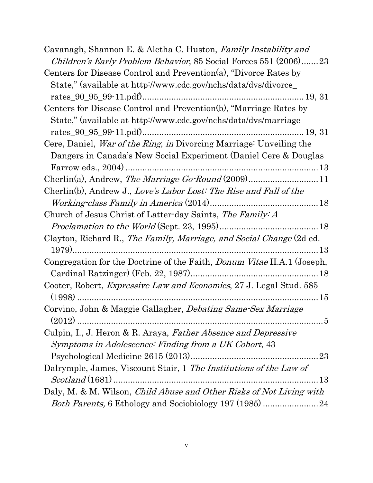| Cavanagh, Shannon E. & Aletha C. Huston, Family Instability and<br><i>Children's Early Problem Behavior</i> , 85 Social Forces 551 (2006)23 |
|---------------------------------------------------------------------------------------------------------------------------------------------|
| Centers for Disease Control and Prevention(a), "Divorce Rates by                                                                            |
| State," (available at http://www.cdc.gov/nchs/data/dvs/divorce_                                                                             |
|                                                                                                                                             |
| Centers for Disease Control and Prevention(b), "Marriage Rates by                                                                           |
| State," (available at http://www.cdc.gov/nchs/data/dvs/marriage                                                                             |
|                                                                                                                                             |
| Cere, Daniel, <i>War of the Ring, in</i> Divorcing Marriage: Unveiling the                                                                  |
| Dangers in Canada's New Social Experiment (Daniel Cere & Douglas                                                                            |
|                                                                                                                                             |
|                                                                                                                                             |
| Cherlin(b), Andrew J., Love's Labor Lost: The Rise and Fall of the                                                                          |
|                                                                                                                                             |
| Church of Jesus Christ of Latter-day Saints, The Family: A                                                                                  |
|                                                                                                                                             |
| Clayton, Richard R., The Family, Marriage, and Social Change (2d ed.                                                                        |
|                                                                                                                                             |
| Congregation for the Doctrine of the Faith, <i>Donum Vitae</i> II.A.1 (Joseph,                                                              |
|                                                                                                                                             |
| Cooter, Robert, Expressive Law and Economics, 27 J. Legal Stud. 585                                                                         |
|                                                                                                                                             |
| Corvino, John & Maggie Gallagher, <i>Debating Same-Sex Marriage</i>                                                                         |
|                                                                                                                                             |
| Culpin, I., J. Heron & R. Araya, <i>Father Absence and Depressive</i>                                                                       |
| Symptoms in Adolescence: Finding from a UK Cohort, 43                                                                                       |
| 23                                                                                                                                          |
| Dalrymple, James, Viscount Stair, 1 The Institutions of the Law of                                                                          |
| $\dots 13$                                                                                                                                  |
| Daly, M. & M. Wilson, Child Abuse and Other Risks of Not Living with                                                                        |
| Both Parents, 6 Ethology and Sociobiology 197 (1985) 24                                                                                     |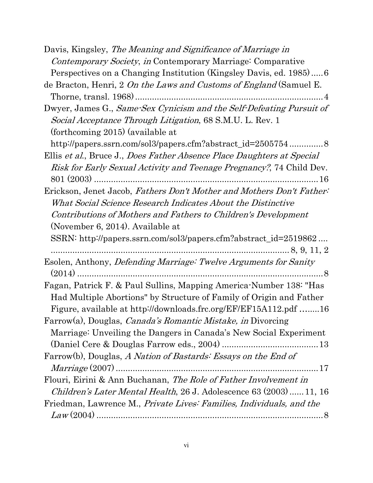Davis, Kingsley, The Meaning and Significance of Marriage in Contemporary Society, in Contemporary Marriage: Comparative Perspectives on a Changing Institution (Kingsley Davis, ed. 1985) ..... 6 de Bracton, Henri, 2 On the Laws and Customs of England (Samuel E. Thorne, transl. 1968) .............................................................................. 4 Dwyer, James G., Same-Sex Cynicism and the Self-Defeating Pursuit of Social Acceptance Through Litigation, 68 S.M.U. L. Rev. 1 (forthcoming 2015) (available at http://papers.ssrn.com/sol3/papers.cfm?abstract\_id=2505754 ............... 8 Ellis et al., Bruce J., Does Father Absence Place Daughters at Special Risk for Early Sexual Activity and Teenage Pregnancy?, 74 Child Dev. 801 (2003) ............................................................................................. 16 Erickson, Jenet Jacob, Fathers Don't Mother and Mothers Don't Father: What Social Science Research Indicates About the Distinctive Contributions of Mothers and Fathers to Children's Development (November 6, 2014). Available at SSRN: http://papers.ssrn.com/sol3/papers.cfm?abstract\_id=2519862 .... ................................................................................................... 8, 9, 11, 2 Esolen, Anthony, Defending Marriage: Twelve Arguments for Sanity (2014) ...................................................................................................... 8 Fagan, Patrick F. & Paul Sullins, Mapping America-Number 138: "Has Had Multiple Abortions" by Structure of Family of Origin and Father Figure, available at http://downloads.frc.org/EF/EF15A112.pdf ….....16 Farrow(a), Douglas, Canada's Romantic Mistake, in Divorcing Marriage: Unveiling the Dangers in Canada's New Social Experiment (Daniel Cere & Douglas Farrow eds., 2004) ........................................ 13 Farrow(b), Douglas, A Nation of Bastards: Essays on the End of Marriage (2007) .................................................................................... 17 Flouri, Eirini & Ann Buchanan, The Role of Father Involvement in Children's Later Mental Health, 26 J. Adolescence 63 (2003) ...... 11, 16 Friedman, Lawrence M., Private Lives: Families, Individuals, and the Law (2004) .............................................................................................. 8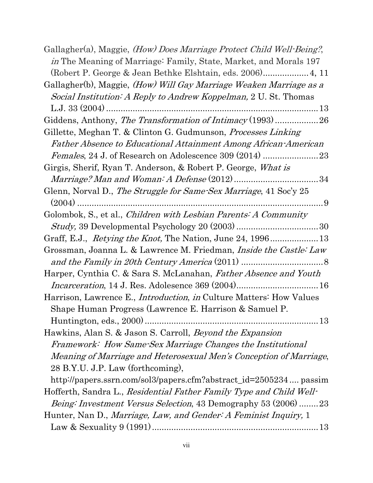Gallagher(a), Maggie, (How) Does Marriage Protect Child Well-Being?, in The Meaning of Marriage: Family, State, Market, and Morals 197 (Robert P. George & Jean Bethke Elshtain, eds. 2006) ................... 4, 11 Gallagher(b), Maggie, (How) Will Gay Marriage Weaken Marriage as a Social Institution: A Reply to Andrew Koppelman, 2 U. St. Thomas L.J. 33 (2004) ........................................................................................ 13 Giddens, Anthony, The Transformation of Intimacy (1993) .........................26 Gillette, Meghan T. & Clinton G. Gudmunson, Processes Linking Father Absence to Educational Attainment Among African-American Females, 24 J. of Research on Adolescence 309 (2014) ............................23 Girgis, Sherif, Ryan T. Anderson, & Robert P. George, What is Marriage? Man and Woman: A Defense (2012) ................................... 34 Glenn, Norval D., The Struggle for Same-Sex Marriage, 41 Soc'y 25 (2004) ...................................................................................................... 9 Golombok, S., et al., Children with Lesbian Parents: A Community Study, 39 Developmental Psychology 20 (2003) .................................. 30 Graff, E.J., Retying the Knot, The Nation, June 24, 1996 .................... 13 Grossman, Joanna L. & Lawrence M. Friedman, Inside the Castle: Law and the Family in 20th Century America (2011) .................................. 8 Harper, Cynthia C. & Sara S. McLanahan, Father Absence and Youth Incarceration, 14 J. Res. Adolesence 369 (2004) .................................. 16 Harrison, Lawrence E., Introduction, in Culture Matters: How Values Shape Human Progress (Lawrence E. Harrison & Samuel P. Huntington, eds., 2000) ........................................................................ 13 Hawkins, Alan S. & Jason S. Carroll, Beyond the Expansion Framework: How Same-Sex Marriage Changes the Institutional Meaning of Marriage and Heterosexual Men's Conception of Marriage, 28 B.Y.U. J.P. Law (forthcoming), http://papers.ssrn.com/sol3/papers.cfm?abstract\_id=2505234 .... passim Hofferth, Sandra L., Residential Father Family Type and Child Well-Being: Investment Versus Selection, 43 Demography 53 (2006) ........ 23 Hunter, Nan D., *Marriage, Law, and Gender: A Feminist Inquiry*, 1 Law & Sexuality 9 (1991) ..................................................................... 13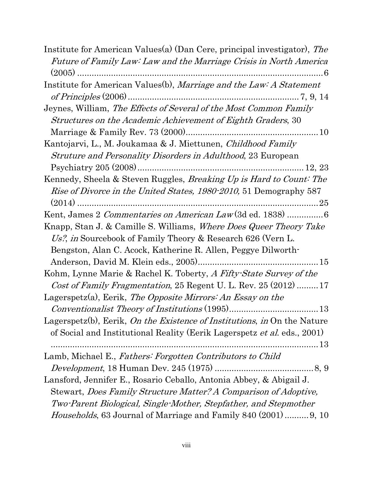| Institute for American Values(a) (Dan Cere, principal investigator), The        |
|---------------------------------------------------------------------------------|
| Future of Family Law: Law and the Marriage Crisis in North America              |
|                                                                                 |
| Institute for American Values(b), Marriage and the Law: A Statement             |
|                                                                                 |
| Jeynes, William, The Effects of Several of the Most Common Family               |
| Structures on the Academic Achievement of Eighth Graders, 30                    |
|                                                                                 |
| Kantojarvi, L., M. Joukamaa & J. Miettunen, Childhood Family                    |
| <i>Struture and Personality Disorders in Adulthood</i> , 23 European            |
|                                                                                 |
| Kennedy, Sheela & Steven Ruggles, Breaking Up is Hard to Count: The             |
| <i>Rise of Divorce in the United States, 1980-2010,</i> 51 Demography 587       |
|                                                                                 |
| Kent, James 2 Commentaries on American Law (3d ed. 1838)  6                     |
| Knapp, Stan J. & Camille S. Williams, <i>Where Does Queer Theory Take</i>       |
| Us?, in Sourcebook of Family Theory & Research 626 (Vern L.                     |
| Bengston, Alan C. Acock, Katherine R. Allen, Peggye Dilworth-                   |
|                                                                                 |
| Kohm, Lynne Marie & Rachel K. Toberty, A Fifty-State Survey of the              |
| Cost of Family Fragmentation, 25 Regent U. L. Rev. 25 $(2012)$ 17               |
| Lagerspetz(a), Eerik, The Opposite Mirrors: An Essay on the                     |
|                                                                                 |
| Lagerspetz(b), Eerik, On the Existence of Institutions, in On the Nature        |
| of Social and Institutional Reality (Eerik Lagerspetz <i>et al.</i> eds., 2001) |
|                                                                                 |
| Lamb, Michael E., Fathers: Forgotten Contributors to Child                      |
|                                                                                 |
| Lansford, Jennifer E., Rosario Ceballo, Antonia Abbey, & Abigail J.             |
| Stewart, Does Family Structure Matter? A Comparison of Adoptive,                |
| Two-Parent Biological, Single-Mother, Stepfather, and Stepmother                |
| <i>Households</i> , 63 Journal of Marriage and Family 840 (2001)  9, 10         |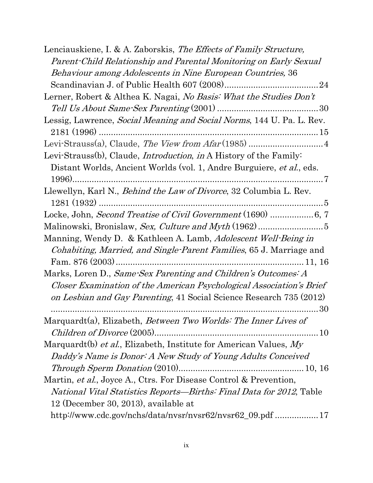| Lenciauskiene, I. & A. Zaborskis, The Effects of Family Structure,                |
|-----------------------------------------------------------------------------------|
| Parent-Child Relationship and Parental Monitoring on Early Sexual                 |
| Behaviour among Adolescents in Nine European Countries, 36                        |
|                                                                                   |
| Lerner, Robert & Althea K. Nagai, No Basis: What the Studies Don't                |
|                                                                                   |
| Lessig, Lawrence, <i>Social Meaning and Social Norms</i> , 144 U. Pa. L. Rev.     |
|                                                                                   |
|                                                                                   |
| Levi-Strauss(b), Claude, <i>Introduction</i> , <i>in</i> A History of the Family: |
| Distant Worlds, Ancient Worlds (vol. 1, Andre Burguiere, et al., eds.             |
|                                                                                   |
| Llewellyn, Karl N., <i>Behind the Law of Divorce</i> , 32 Columbia L. Rev.        |
|                                                                                   |
| Locke, John, Second Treatise of Civil Government (1690)  6, 7                     |
|                                                                                   |
| Manning, Wendy D. & Kathleen A. Lamb, <i>Adolescent Well-Being in</i>             |
| <i>Cohabiting, Married, and Single-Parent Families, 65 J. Marriage and</i>        |
|                                                                                   |
| Marks, Loren D., Same-Sex Parenting and Children's Outcomes: A                    |
| Closer Examination of the American Psychological Association's Brief              |
| on Lesbian and Gay Parenting, 41 Social Science Research 735 (2012)               |
|                                                                                   |
| Marquardt(a), Elizabeth, Between Two Worlds: The Inner Lives of                   |
|                                                                                   |
| Marquardt(b) et al., Elizabeth, Institute for American Values, My                 |
| Daddy's Name is Donor: A New Study of Young Adults Conceived                      |
|                                                                                   |
| Martin, et al., Joyce A., Ctrs. For Disease Control & Prevention,                 |
| <i>National Vital Statistics Reports—Births: Final Data for 2012, Table</i>       |
| 12 (December 30, 2013), available at                                              |
| http://www.cdc.gov/nchs/data/nvsr/nvsr62/nvsr62_09.pdf  17                        |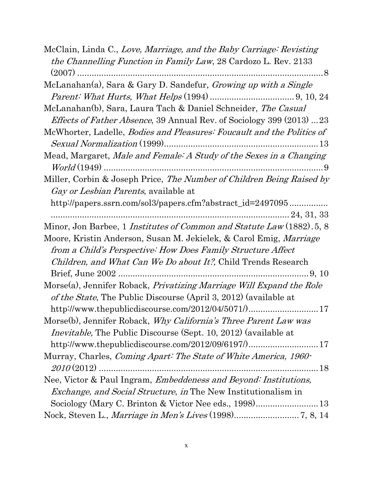| McClain, Linda C., Love, Marriage, and the Baby Carriage: Revisting           |
|-------------------------------------------------------------------------------|
| the Channelling Function in Family Law, 28 Cardozo L. Rev. 2133               |
|                                                                               |
| McLanahan(a), Sara & Gary D. Sandefur, Growing up with a Single               |
|                                                                               |
| McLanahan(b), Sara, Laura Tach & Daniel Schneider, The Casual                 |
| <i>Effects of Father Absence</i> , 39 Annual Rev. of Sociology 399 (2013) 23  |
| McWhorter, Ladelle, <i>Bodies and Pleasures: Foucault and the Politics of</i> |
|                                                                               |
| Mead, Margaret, Male and Female: A Study of the Sexes in a Changing           |
|                                                                               |
| Miller, Corbin & Joseph Price, The Number of Children Being Raised by         |
| <i>Gay or Lesbian Parents</i> , available at                                  |
| http://papers.ssrn.com/sol3/papers.cfm?abstract_id=2497095                    |
|                                                                               |
| Minor, Jon Barbee, 1 <i>Institutes of Common and Statute Law</i> (1882). 5, 8 |
| Moore, Kristin Anderson, Susan M. Jekielek, & Carol Emig, Marriage            |
| from a Child's Perspective: How Does Family Structure Affect                  |
| <i>Children, and What Can We Do about It?</i> , Child Trends Research         |
|                                                                               |
| Morse(a), Jennifer Roback, Privatizing Marriage Will Expand the Role          |
| of the State, The Public Discourse (April 3, 2012) (available at              |
| http://www.thepublicdiscourse.com/2012/04/5071/)17                            |
|                                                                               |
| Morse(b), Jennifer Roback, <i>Why California's Three Parent Law was</i>       |
| <i>Inevitable</i> , The Public Discourse (Sept. 10, 2012) (available at       |
| http://www.thepublicdiscourse.com/2012/09/6197/)17                            |
| Murray, Charles, Coming Apart: The State of White America, 1960-              |
|                                                                               |
| Nee, Victor & Paul Ingram, Embeddeness and Beyond: Institutions,              |
| <i>Exchange, and Social Structure, in</i> The New Institutionalism in         |
| Sociology (Mary C. Brinton & Victor Nee eds., 1998) 13                        |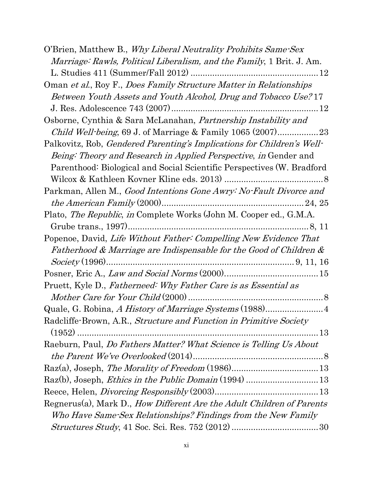| O'Brien, Matthew B., Why Liberal Neutrality Prohibits Same-Sex            |
|---------------------------------------------------------------------------|
| Marriage: Rawls, Political Liberalism, and the Family, 1 Brit. J. Am.     |
|                                                                           |
| Oman et al., Roy F., Does Family Structure Matter in Relationships        |
| Between Youth Assets and Youth Alcohol, Drug and Tobacco Use? 17          |
|                                                                           |
| Osborne, Cynthia & Sara McLanahan, Partnership Instability and            |
|                                                                           |
| Palkovitz, Rob, Gendered Parenting's Implications for Children's Well-    |
| <i>Being: Theory and Research in Applied Perspective, in Gender and</i>   |
| Parenthood: Biological and Social Scientific Perspectives (W. Bradford    |
|                                                                           |
| Parkman, Allen M., Good Intentions Gone Awry: No-Fault Divorce and        |
|                                                                           |
| Plato, <i>The Republic, in</i> Complete Works (John M. Cooper ed., G.M.A. |
|                                                                           |
| Popenoe, David, Life Without Father: Compelling New Evidence That         |
| Fatherhood & Marriage are Indispensable for the Good of Children &        |
|                                                                           |
|                                                                           |
| Pruett, Kyle D., Fatherneed: Why Father Care is as Essential as           |
|                                                                           |
| Quale, G. Robina, A History of Marriage Systems (1988) 4                  |
| Radcliffe-Brown, A.R., Structure and Function in Primitive Society        |
|                                                                           |
| Raeburn, Paul, Do Fathers Matter? What Science is Telling Us About        |
|                                                                           |
|                                                                           |
| Raz(b), Joseph, <i>Ethics in the Public Domain</i> (1994) 13              |
|                                                                           |
| Regnerus(a), Mark D., How Different Are the Adult Children of Parents     |
| Who Have Same-Sex Relationships? Findings from the New Family             |
|                                                                           |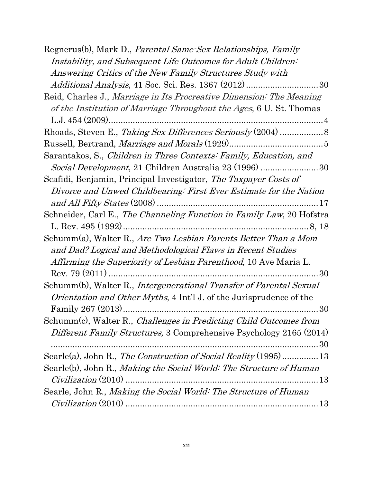| Regnerus(b), Mark D., Parental Same-Sex Relationships, Family              |
|----------------------------------------------------------------------------|
| Instability, and Subsequent Life Outcomes for Adult Children:              |
| Answering Critics of the New Family Structures Study with                  |
|                                                                            |
| Reid, Charles J., Marriage in Its Procreative Dimension: The Meaning       |
| of the Institution of Marriage Throughout the Ages, 6 U. St. Thomas        |
|                                                                            |
|                                                                            |
|                                                                            |
| Sarantakos, S., Children in Three Contexts: Family, Education, and         |
| Social Development, 21 Children Australia 23 (1996) 30                     |
| Scafidi, Benjamin, Principal Investigator, The Taxpayer Costs of           |
| Divorce and Unwed Childbearing: First Ever Estimate for the Nation         |
|                                                                            |
| Schneider, Carl E., The Channeling Function in Family Law, 20 Hofstra      |
|                                                                            |
| Schumm(a), Walter R., Are Two Lesbian Parents Better Than a Mom            |
| and Dad? Logical and Methodological Flaws in Recent Studies                |
| <i>Affirming the Superiority of Lesbian Parenthood</i> , 10 Ave Maria L.   |
|                                                                            |
| Schumm(b), Walter R., Intergenerational Transfer of Parental Sexual        |
| <i>Orientation and Other Myths,</i> 4 Int'l J. of the Jurisprudence of the |
|                                                                            |
| Schumm(c), Walter R., Challenges in Predicting Child Outcomes from         |
| <i>Different Family Structures,</i> 3 Comprehensive Psychology 2165 (2014) |
| 30                                                                         |
| Searle(a), John R., The Construction of Social Reality (1995)  13          |
| Searle(b), John R., Making the Social World: The Structure of Human        |
| $Civilization$ (2010)                                                      |
| Searle, John R., Making the Social World: The Structure of Human           |
|                                                                            |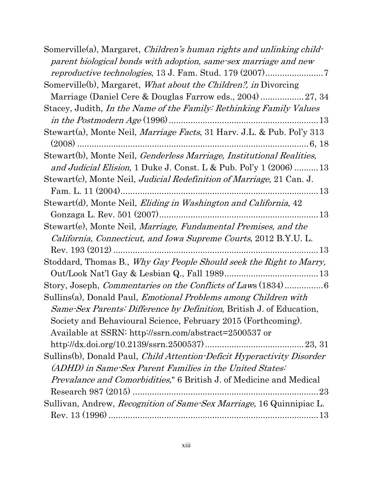| Somerville(a), Margaret, <i>Children's human rights and unlinking child-</i><br>parent biological bonds with adoption, same-sex marriage and new                                                                        |
|-------------------------------------------------------------------------------------------------------------------------------------------------------------------------------------------------------------------------|
|                                                                                                                                                                                                                         |
| Somerville(b), Margaret, <i>What about the Children?</i> , <i>in</i> Divorcing                                                                                                                                          |
|                                                                                                                                                                                                                         |
| Stacey, Judith, <i>In the Name of the Family: Rethinking Family Values</i>                                                                                                                                              |
|                                                                                                                                                                                                                         |
| Stewart(a), Monte Neil, <i>Marriage Facts</i> , 31 Harv. J.L. & Pub. Pol'y 313                                                                                                                                          |
| Stewart(b), Monte Neil, Genderless Marriage, Institutional Realities,                                                                                                                                                   |
| and Judicial Elision, 1 Duke J. Const. L & Pub. Pol'y $1(2006)$ 13                                                                                                                                                      |
| Stewart(c), Monte Neil, Judicial Redefinition of Marriage, 21 Can. J.                                                                                                                                                   |
|                                                                                                                                                                                                                         |
| Stewart(d), Monte Neil, <i>Eliding in Washington and California</i> , 42                                                                                                                                                |
|                                                                                                                                                                                                                         |
| Stewart(e), Monte Neil, <i>Marriage, Fundamental Premises, and the</i><br>California, Connecticut, and Iowa Supreme Courts, 2012 B.Y.U. L.                                                                              |
| Stoddard, Thomas B., Why Gay People Should seek the Right to Marry,                                                                                                                                                     |
|                                                                                                                                                                                                                         |
| Story, Joseph, Commentaries on the Conflicts of Laws (1834)6                                                                                                                                                            |
| Sullins(a), Donald Paul, <i>Emotional Problems among Children with</i><br><i>Same-Sex Parents: Difference by Definition</i> , British J. of Education,<br>Society and Behavioural Science, February 2015 (Forthcoming). |
| Available at SSRN: http://ssrn.com/abstract=2500537 or                                                                                                                                                                  |
|                                                                                                                                                                                                                         |
| Sullins(b), Donald Paul, <i>Child Attention-Deficit Hyperactivity Disorder</i><br>(ADHD) in Same-Sex Parent Families in the United States:                                                                              |
| <i>Prevalance and Comorbidities</i> ," 6 British J. of Medicine and Medical                                                                                                                                             |
| $\ldots 23$                                                                                                                                                                                                             |
| Sullivan, Andrew, Recognition of Same-Sex Marriage, 16 Quinnipiac L.                                                                                                                                                    |
|                                                                                                                                                                                                                         |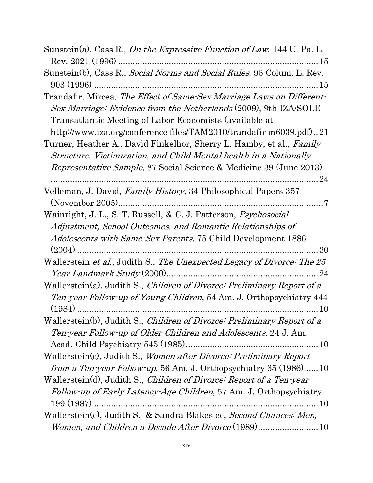| Sunstein(a), Cass R., On the Expressive Function of Law, 144 U. Pa. L.                                                                    |
|-------------------------------------------------------------------------------------------------------------------------------------------|
|                                                                                                                                           |
| Sunstein(b), Cass R., <i>Social Norms and Social Rules</i> , 96 Colum. L. Rev.                                                            |
|                                                                                                                                           |
| Trandafir, Mircea, The Effect of Same-Sex Marriage Laws on Different-<br>Sex Marriage: Evidence from the Netherlands (2009), 9th IZA/SOLE |
| Transatlantic Meeting of Labor Economists (available at                                                                                   |
| http://www.iza.org/conference files/TAM2010/trandafir m6039.pdf)21                                                                        |
| Turner, Heather A., David Finkelhor, Sherry L. Hamby, et al., Family                                                                      |
| Structure, Victimization, and Child Mental health in a Nationally                                                                         |
| <i>Representative Sample, 87 Social Science &amp; Medicine 39 (June 2013)</i>                                                             |
|                                                                                                                                           |
| Velleman, J. David, Family History, 34 Philosophical Papers 357                                                                           |
|                                                                                                                                           |
| Wainright, J. L., S. T. Russell, & C. J. Patterson, <i>Psychosocial</i>                                                                   |
| Adjustment, School Outcomes, and Romantic Relationships of                                                                                |
| <i>Adolescents with Same-Sex Parents, 75 Child Development 1886</i>                                                                       |
|                                                                                                                                           |
| Wallerstein et al., Judith S., The Unexpected Legacy of Divorce: The 25                                                                   |
| Wallerstein(a), Judith S., Children of Divorce: Preliminary Report of a                                                                   |
| Ten-year Follow-up of Young Children, 54 Am. J. Orthopsychiatry 444                                                                       |
| Wallerstein(b), Judith S., Children of Divorce: Preliminary Report of a                                                                   |
| Ten-year Follow-up of Older Children and Adolescents, 24 J. Am.                                                                           |
|                                                                                                                                           |
| Wallerstein(c), Judith S., Women after Divorce: Preliminary Report                                                                        |
| <i>from a Ten-year Follow-up</i> , 56 Am. J. Orthopsychiatry 65 (1986)10                                                                  |
| Wallerstein(d), Judith S., Children of Divorce: Report of a Ten-year                                                                      |
| Follow-up of Early Latency-Age Children, 57 Am. J. Orthopsychiatry                                                                        |
|                                                                                                                                           |
| Wallerstein(e), Judith S. & Sandra Blakeslee, Second Chances: Men,                                                                        |
| Women, and Children a Decade After Divorce (1989)10                                                                                       |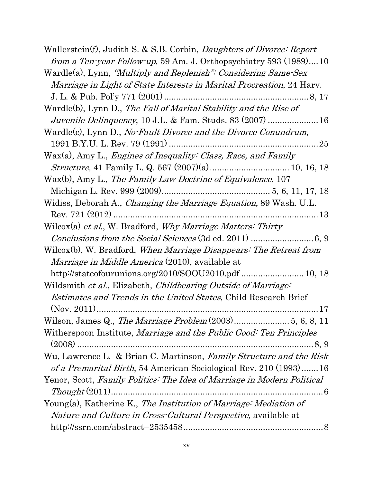| Wallerstein(f), Judith S. & S.B. Corbin, <i>Daughters of Divorce: Report</i> |
|------------------------------------------------------------------------------|
| <i>from a Ten-year Follow-up</i> , 59 Am. J. Orthopsychiatry 593 (1989)10    |
| Wardle(a), Lynn, <i>"Multiply and Replenish": Considering Same-Sex</i>       |
| <i>Marriage in Light of State Interests in Marital Procreation, 24 Hary.</i> |
|                                                                              |
| Wardle(b), Lynn D., The Fall of Marital Stability and the Rise of            |
| <i>Juvenile Delinquency</i> , 10 J.L. & Fam. Studs. 83 (2007)  16            |
| Wardle(c), Lynn D., No-Fault Divorce and the Divorce Conundrum,              |
|                                                                              |
| $Wax(a)$ , Amy L., <i>Engines of Inequality: Class, Race, and Family</i>     |
|                                                                              |
| Wax(b), Amy L., The Family Law Doctrine of Equivalence, 107                  |
|                                                                              |
| Widiss, Deborah A., <i>Changing the Marriage Equation</i> , 89 Wash. U.L.    |
|                                                                              |
| Wilcox(a) et al., W. Bradford, Why Marriage Matters: Thirty                  |
|                                                                              |
| Wilcox(b), W. Bradford, When Marriage Disappears: The Retreat from           |
| <i>Marriage in Middle America</i> (2010), available at                       |
|                                                                              |
| Wildsmith et al., Elizabeth, Childbearing Outside of Marriage:               |
| <i>Estimates and Trends in the United States, Child Research Brief</i>       |
|                                                                              |
|                                                                              |
| Witherspoon Institute, Marriage and the Public Good: Ten Principles          |
|                                                                              |
| Wu, Lawrence L. & Brian C. Martinson, Family Structure and the Risk          |
| of a Premarital Birth, 54 American Sociological Rev. 210 (1993)16            |
| Yenor, Scott, Family Politics: The Idea of Marriage in Modern Political      |
|                                                                              |
| Young(a), Katherine K., The Institution of Marriage: Mediation of            |
| <i>Nature and Culture in Cross-Cultural Perspective, available at</i>        |
|                                                                              |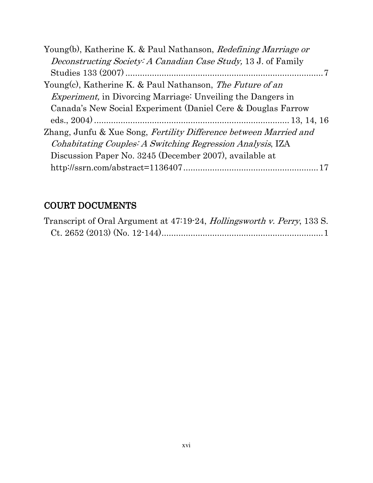| Young(b), Katherine K. & Paul Nathanson, Redefining Marriage or       |
|-----------------------------------------------------------------------|
| <i>Deconstructing Society: A Canadian Case Study, 13 J. of Family</i> |
|                                                                       |
| Young(c), Katherine K. & Paul Nathanson, The Future of an             |
| <i>Experiment</i> , in Divorcing Marriage: Unveiling the Dangers in   |
| Canada's New Social Experiment (Daniel Cere & Douglas Farrow          |
|                                                                       |
| Zhang, Junfu & Xue Song, Fertility Difference between Married and     |
| <i>Cohabitating Couples: A Switching Regression Analysis, IZA</i>     |
| Discussion Paper No. 3245 (December 2007), available at               |
|                                                                       |

# COURT DOCUMENTS

| Transcript of Oral Argument at 47:19-24, <i>Hollingsworth v. Perry</i> , 133 S. |  |
|---------------------------------------------------------------------------------|--|
|                                                                                 |  |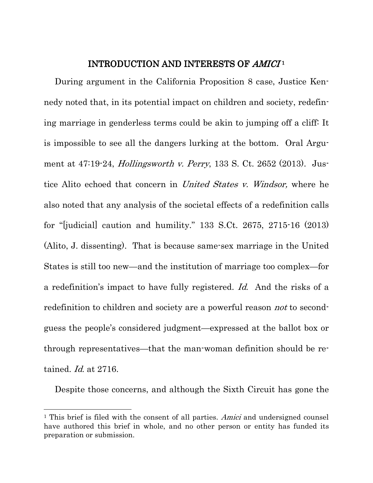#### INTRODUCTION AND INTERESTS OF AMICI<sup>1</sup>

During argument in the California Proposition 8 case, Justice Kennedy noted that, in its potential impact on children and society, redefining marriage in genderless terms could be akin to jumping off a cliff: It is impossible to see all the dangers lurking at the bottom. Oral Argument at 47:19-24, *Hollingsworth v. Perry*, 133 S. Ct. 2652 (2013). Justice Alito echoed that concern in *United States v. Windsor*, where he also noted that any analysis of the societal effects of a redefinition calls for "[judicial] caution and humility." 133 S.Ct. 2675, 2715-16 (2013) (Alito, J. dissenting). That is because same-sex marriage in the United States is still too new—and the institution of marriage too complex—for a redefinition's impact to have fully registered. Id. And the risks of a redefinition to children and society are a powerful reason *not* to secondguess the people's considered judgment—expressed at the ballot box or through representatives—that the man-woman definition should be retained. Id. at 2716.

Despite those concerns, and although the Sixth Circuit has gone the

 $\overline{a}$ 

<sup>&</sup>lt;sup>1</sup> This brief is filed with the consent of all parties. Amici and undersigned counsel have authored this brief in whole, and no other person or entity has funded its preparation or submission.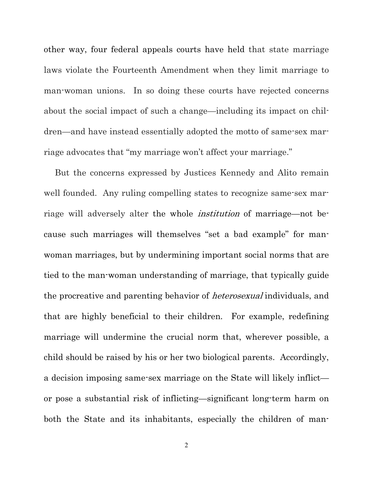other way, four federal appeals courts have held that state marriage laws violate the Fourteenth Amendment when they limit marriage to man-woman unions. In so doing these courts have rejected concerns about the social impact of such a change—including its impact on children—and have instead essentially adopted the motto of same-sex marriage advocates that "my marriage won't affect your marriage."

But the concerns expressed by Justices Kennedy and Alito remain well founded. Any ruling compelling states to recognize same-sex marriage will adversely alter the whole institution of marriage—not because such marriages will themselves "set a bad example" for manwoman marriages, but by undermining important social norms that are tied to the man-woman understanding of marriage, that typically guide the procreative and parenting behavior of heterosexual individuals, and that are highly beneficial to their children. For example, redefining marriage will undermine the crucial norm that, wherever possible, a child should be raised by his or her two biological parents. Accordingly, a decision imposing same-sex marriage on the State will likely inflict or pose a substantial risk of inflicting—significant long-term harm on both the State and its inhabitants, especially the children of man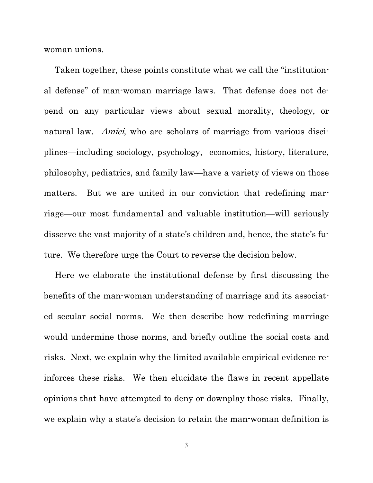woman unions.

Taken together, these points constitute what we call the "institutional defense" of man-woman marriage laws. That defense does not depend on any particular views about sexual morality, theology, or natural law. Amici, who are scholars of marriage from various disciplines—including sociology, psychology, economics, history, literature, philosophy, pediatrics, and family law—have a variety of views on those matters. But we are united in our conviction that redefining marriage—our most fundamental and valuable institution—will seriously disserve the vast majority of a state's children and, hence, the state's future. We therefore urge the Court to reverse the decision below.

Here we elaborate the institutional defense by first discussing the benefits of the man-woman understanding of marriage and its associated secular social norms. We then describe how redefining marriage would undermine those norms, and briefly outline the social costs and risks. Next, we explain why the limited available empirical evidence reinforces these risks. We then elucidate the flaws in recent appellate opinions that have attempted to deny or downplay those risks. Finally, we explain why a state's decision to retain the man-woman definition is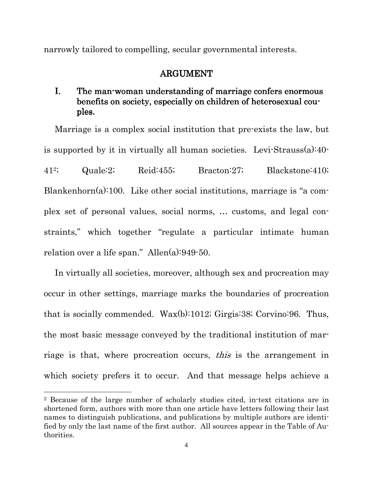narrowly tailored to compelling, secular governmental interests.

### ARGUMENT

### I. The man-woman understanding of marriage confers enormous benefits on society, especially on children of heterosexual couples.

Marriage is a complex social institution that pre-exists the law, but is supported by it in virtually all human societies. Levi-Strauss(a):40- 412; Quale:2; Reid:455; Bracton:27; Blackstone:410; Blankenhorn(a):100. Like other social institutions, marriage is "a complex set of personal values, social norms, … customs, and legal constraints," which together "regulate a particular intimate human relation over a life span." Allen(a):949-50.

In virtually all societies, moreover, although sex and procreation may occur in other settings, marriage marks the boundaries of procreation that is socially commended. Wax(b):1012; Girgis:38; Corvino:96. Thus, the most basic message conveyed by the traditional institution of marriage is that, where procreation occurs, *this* is the arrangement in which society prefers it to occur. And that message helps achieve a

 $\overline{a}$ 

<sup>2</sup> Because of the large number of scholarly studies cited, in-text citations are in shortened form, authors with more than one article have letters following their last names to distinguish publications, and publications by multiple authors are identified by only the last name of the first author. All sources appear in the Table of Authorities.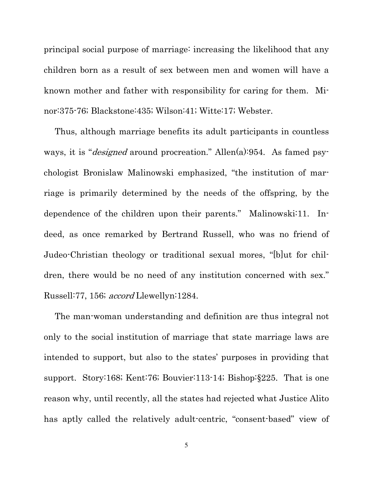principal social purpose of marriage: increasing the likelihood that any children born as a result of sex between men and women will have a known mother and father with responsibility for caring for them. Minor:375-76; Blackstone:435; Wilson:41; Witte:17; Webster.

Thus, although marriage benefits its adult participants in countless ways, it is "*designed* around procreation." Allen(a):954. As famed psychologist Bronislaw Malinowski emphasized, "the institution of marriage is primarily determined by the needs of the offspring, by the dependence of the children upon their parents." Malinowski:11. Indeed, as once remarked by Bertrand Russell, who was no friend of Judeo-Christian theology or traditional sexual mores, "[b]ut for children, there would be no need of any institution concerned with sex." Russell:77, 156; *accord* Llewellyn:1284.

The man-woman understanding and definition are thus integral not only to the social institution of marriage that state marriage laws are intended to support, but also to the states' purposes in providing that support. Story:168; Kent:76; Bouvier:113-14; Bishop:§225. That is one reason why, until recently, all the states had rejected what Justice Alito has aptly called the relatively adult-centric, "consent-based" view of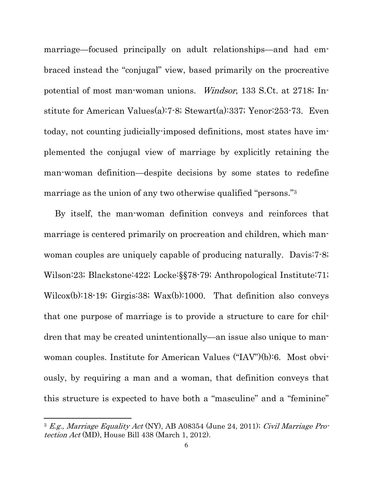marriage—focused principally on adult relationships—and had embraced instead the "conjugal" view, based primarily on the procreative potential of most man-woman unions. Windsor, 133 S.Ct. at 2718; Institute for American Values(a):7-8; Stewart(a):337; Yenor:253-73. Even today, not counting judicially-imposed definitions, most states have implemented the conjugal view of marriage by explicitly retaining the man-woman definition—despite decisions by some states to redefine marriage as the union of any two otherwise qualified "persons."<sup>3</sup>

By itself, the man-woman definition conveys and reinforces that marriage is centered primarily on procreation and children, which manwoman couples are uniquely capable of producing naturally. Davis:7-8; Wilson:23; Blackstone:422; Locke:§§78-79; Anthropological Institute:71; Wilcox(b):18-19; Girgis:38; Wax(b):1000. That definition also conveys that one purpose of marriage is to provide a structure to care for children that may be created unintentionally—an issue also unique to manwoman couples. Institute for American Values ("IAV")(b):6. Most obviously, by requiring a man and a woman, that definition conveys that this structure is expected to have both a "masculine" and a "feminine"

 $\overline{a}$ 

 $3$  E.g., Marriage Equality Act (NY), AB A08354 (June 24, 2011); Civil Marriage Protection Act (MD), House Bill 438 (March 1, 2012).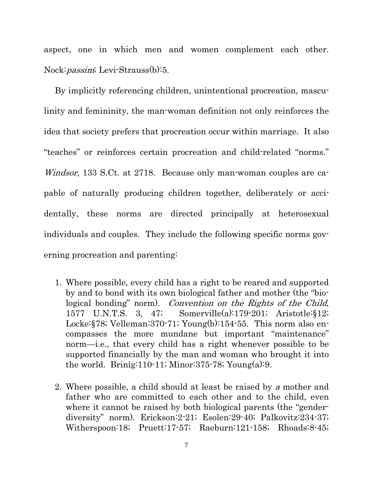aspect, one in which men and women complement each other. Nock: *passim*; Levi-Strauss(b):5.

By implicitly referencing children, unintentional procreation, masculinity and femininity, the man-woman definition not only reinforces the idea that society prefers that procreation occur within marriage. It also "teaches" or reinforces certain procreation and child-related "norms." Windsor, 133 S.Ct. at 2718. Because only man-woman couples are capable of naturally producing children together, deliberately or accidentally, these norms are directed principally at heterosexual individuals and couples. They include the following specific norms governing procreation and parenting:

- 1. Where possible, every child has a right to be reared and supported by and to bond with its own biological father and mother (the "biological bonding" norm). Convention on the Rights of the Child, 1577 U.N.T.S. 3, 47; Somerville(a):179-201; Aristotle:§12; Locke:§78; Velleman:370-71; Young(b):154-55. This norm also encompasses the more mundane but important "maintenance" norm—i.e., that every child has a right whenever possible to be supported financially by the man and woman who brought it into the world. Brinig:110-11; Minor:375-78; Young $(a)$ :9.
- 2. Where possible, a child should at least be raised by a mother and father who are committed to each other and to the child, even where it cannot be raised by both biological parents (the "genderdiversity" norm). Erickson:2-21; Esolen:29-40; Palkovitz:234-37; Witherspoon:18; Pruett:17-57; Raeburn:121-158; Rhoads:8-45;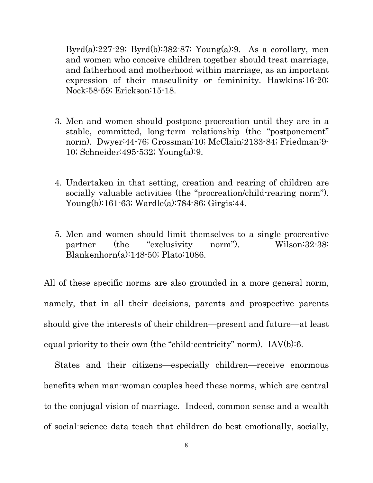Byrd(a):227-29; Byrd(b):382-87; Young(a):9. As a corollary, men and women who conceive children together should treat marriage, and fatherhood and motherhood within marriage, as an important expression of their masculinity or femininity. Hawkins:16-20; Nock:58-59; Erickson:15-18.

- 3. Men and women should postpone procreation until they are in a stable, committed, long-term relationship (the "postponement" norm). Dwyer:44-76; Grossman:10; McClain:2133-84; Friedman:9- 10; Schneider:495-532; Young(a):9.
- 4. Undertaken in that setting, creation and rearing of children are socially valuable activities (the "procreation/child-rearing norm"). Young(b):161-63; Wardle(a):784-86; Girgis:44.
- 5. Men and women should limit themselves to a single procreative partner (the "exclusivity norm"). Wilson:32-38; Blankenhorn(a):148-50; Plato:1086.

All of these specific norms are also grounded in a more general norm, namely, that in all their decisions, parents and prospective parents should give the interests of their children—present and future—at least equal priority to their own (the "child-centricity" norm). IAV(b):6.

States and their citizens—especially children—receive enormous benefits when man-woman couples heed these norms, which are central to the conjugal vision of marriage. Indeed, common sense and a wealth of social-science data teach that children do best emotionally, socially,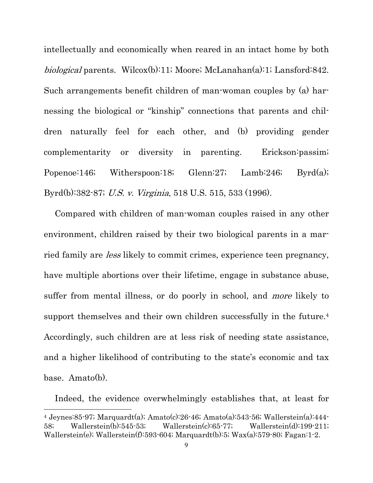intellectually and economically when reared in an intact home by both biological parents. Wilcox(b):11; Moore; McLanahan(a):1; Lansford:842. Such arrangements benefit children of man-woman couples by (a) harnessing the biological or "kinship" connections that parents and children naturally feel for each other, and (b) providing gender complementarity or diversity in parenting. Erickson:passim; Popenoe:146; Witherspoon:18; Glenn:27; Lamb:246; Byrd(a); Byrd(b):382-87; U.S. v. Virginia, 518 U.S. 515, 533 (1996).

Compared with children of man-woman couples raised in any other environment, children raised by their two biological parents in a married family are less likely to commit crimes, experience teen pregnancy, have multiple abortions over their lifetime, engage in substance abuse, suffer from mental illness, or do poorly in school, and *more* likely to support themselves and their own children successfully in the future.<sup>4</sup> Accordingly, such children are at less risk of needing state assistance, and a higher likelihood of contributing to the state's economic and tax base. Amato(b).

Indeed, the evidence overwhelmingly establishes that, at least for

 $\overline{a}$ 

<sup>4</sup> Jeynes:85-97; Marquardt(a); Amato(c):26-46; Amato(a):543-56; Wallerstein(a):444- 58; Wallerstein(b):545-53; Wallerstein(c):65-77; Wallerstein(d):199-211; Wallerstein(e); Wallerstein(f):593-604; Marquardt(b):5; Wax(a):579-80; Fagan:1-2.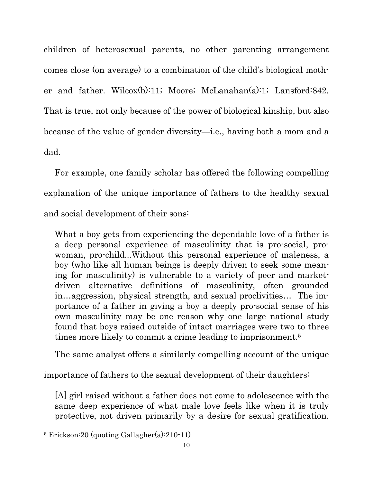children of heterosexual parents, no other parenting arrangement comes close (on average) to a combination of the child's biological mother and father. Wilcox(b):11; Moore; McLanahan(a):1; Lansford:842. That is true, not only because of the power of biological kinship, but also because of the value of gender diversity—i.e., having both a mom and a dad.

For example, one family scholar has offered the following compelling explanation of the unique importance of fathers to the healthy sexual and social development of their sons:

What a boy gets from experiencing the dependable love of a father is a deep personal experience of masculinity that is pro-social, prowoman, pro-child...Without this personal experience of maleness, a boy (who like all human beings is deeply driven to seek some meaning for masculinity) is vulnerable to a variety of peer and marketdriven alternative definitions of masculinity, often grounded in…aggression, physical strength, and sexual proclivities… The importance of a father in giving a boy a deeply pro-social sense of his own masculinity may be one reason why one large national study found that boys raised outside of intact marriages were two to three times more likely to commit a crime leading to imprisonment.<sup>5</sup>

The same analyst offers a similarly compelling account of the unique

importance of fathers to the sexual development of their daughters:

[A] girl raised without a father does not come to adolescence with the same deep experience of what male love feels like when it is truly protective, not driven primarily by a desire for sexual gratification.

 $\ddot{\phantom{a}}$ 5 Erickson:20 (quoting Gallagher(a):210-11)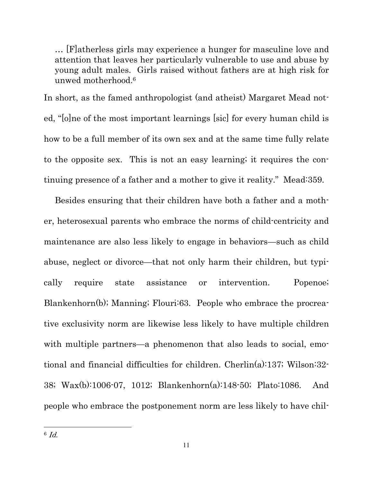… [F]atherless girls may experience a hunger for masculine love and attention that leaves her particularly vulnerable to use and abuse by young adult males. Girls raised without fathers are at high risk for unwed motherhood.<sup>6</sup>

In short, as the famed anthropologist (and atheist) Margaret Mead noted, "[o]ne of the most important learnings [sic] for every human child is how to be a full member of its own sex and at the same time fully relate to the opposite sex. This is not an easy learning; it requires the continuing presence of a father and a mother to give it reality." Mead:359.

Besides ensuring that their children have both a father and a mother, heterosexual parents who embrace the norms of child-centricity and maintenance are also less likely to engage in behaviors—such as child abuse, neglect or divorce—that not only harm their children, but typically require state assistance or intervention. Popenoe; Blankenhorn(b); Manning; Flouri:63. People who embrace the procreative exclusivity norm are likewise less likely to have multiple children with multiple partners—a phenomenon that also leads to social, emotional and financial difficulties for children. Cherlin(a):137; Wilson:32- 38; Wax(b):1006-07, 1012; Blankenhorn(a):148-50; Plato:1086. And people who embrace the postponement norm are less likely to have chil-

 $\ddot{\phantom{a}}$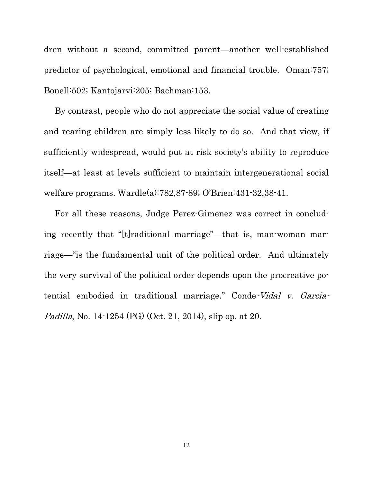dren without a second, committed parent—another well-established predictor of psychological, emotional and financial trouble. Oman:757; Bonell:502; Kantojarvi:205; Bachman:153.

By contrast, people who do not appreciate the social value of creating and rearing children are simply less likely to do so. And that view, if sufficiently widespread, would put at risk society's ability to reproduce itself—at least at levels sufficient to maintain intergenerational social welfare programs. Wardle(a):782,87-89; O'Brien:431-32,38-41.

For all these reasons, Judge Perez-Gimenez was correct in concluding recently that "[t]raditional marriage"—that is, man-woman marriage—"is the fundamental unit of the political order. And ultimately the very survival of the political order depends upon the procreative potential embodied in traditional marriage." Conde-Vidal v. Garcia-Padilla, No. 14-1254 (PG) (Oct. 21, 2014), slip op. at 20.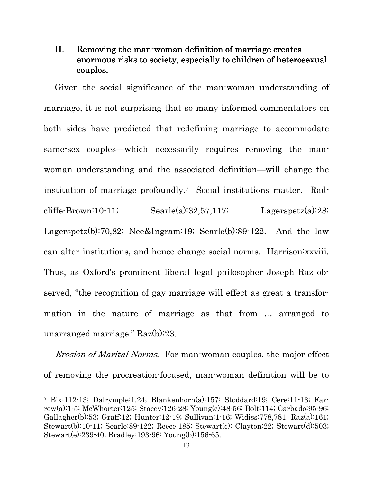### II. Removing the man-woman definition of marriage creates enormous risks to society, especially to children of heterosexual couples.

Given the social significance of the man-woman understanding of marriage, it is not surprising that so many informed commentators on both sides have predicted that redefining marriage to accommodate same-sex couples—which necessarily requires removing the manwoman understanding and the associated definition—will change the institution of marriage profoundly.7 Social institutions matter. Radcliffe-Brown:10-11;  $\text{Search}(a):32,57,117;$   $\text{Lagerspetz}(a):28;$ Lagerspetz(b):70,82; Nee&Ingram:19; Searle(b):89-122. And the law can alter institutions, and hence change social norms. Harrison:xxviii. Thus, as Oxford's prominent liberal legal philosopher Joseph Raz observed, "the recognition of gay marriage will effect as great a transformation in the nature of marriage as that from … arranged to unarranged marriage." Raz(b):23.

Erosion of Marital Norms. For man-woman couples, the major effect of removing the procreation-focused, man-woman definition will be to

 $\overline{a}$ 

<sup>7</sup> Bix:112-13; Dalrymple:1,24; Blankenhorn(a):157; Stoddard:19; Cere:11-13; Farrow(a):1-5; McWhorter:125; Stacey:126-28; Young(c):48-56; Bolt:114; Carbado:95-96; Gallagher(b):53; Graff:12; Hunter:12-19; Sullivan:1-16; Widiss:778,781; Raz(a):161; Stewart(b):10-11; Searle:89-122; Reece:185; Stewart(c); Clayton:22; Stewart(d):503; Stewart(e):239-40; Bradley:193-96; Young(b):156-65.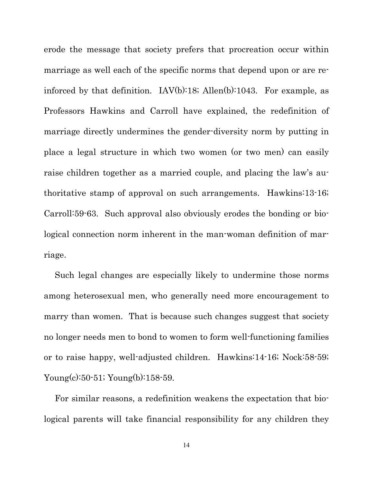erode the message that society prefers that procreation occur within marriage as well each of the specific norms that depend upon or are reinforced by that definition. IAV(b):18; Allen(b):1043. For example, as Professors Hawkins and Carroll have explained, the redefinition of marriage directly undermines the gender-diversity norm by putting in place a legal structure in which two women (or two men) can easily raise children together as a married couple, and placing the law's authoritative stamp of approval on such arrangements. Hawkins:13-16; Carroll:59-63. Such approval also obviously erodes the bonding or biological connection norm inherent in the man-woman definition of marriage.

Such legal changes are especially likely to undermine those norms among heterosexual men, who generally need more encouragement to marry than women. That is because such changes suggest that society no longer needs men to bond to women to form well-functioning families or to raise happy, well-adjusted children. Hawkins:14-16; Nock:58-59; Young(c):50-51; Young(b):158-59.

For similar reasons, a redefinition weakens the expectation that biological parents will take financial responsibility for any children they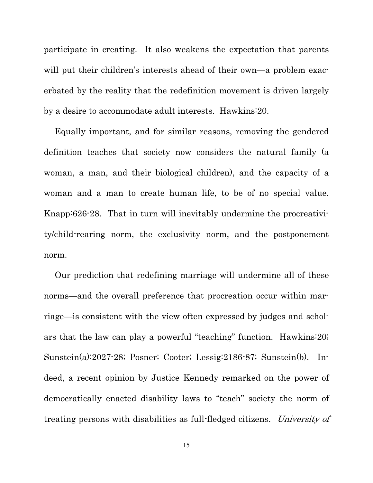participate in creating. It also weakens the expectation that parents will put their children's interests ahead of their own—a problem exacerbated by the reality that the redefinition movement is driven largely by a desire to accommodate adult interests. Hawkins:20.

Equally important, and for similar reasons, removing the gendered definition teaches that society now considers the natural family (a woman, a man, and their biological children), and the capacity of a woman and a man to create human life, to be of no special value. Knapp:626-28. That in turn will inevitably undermine the procreativity/child-rearing norm, the exclusivity norm, and the postponement norm.

Our prediction that redefining marriage will undermine all of these norms—and the overall preference that procreation occur within marriage—is consistent with the view often expressed by judges and scholars that the law can play a powerful "teaching" function. Hawkins:20; Sunstein(a):2027-28; Posner; Cooter; Lessig:2186-87; Sunstein(b). Indeed, a recent opinion by Justice Kennedy remarked on the power of democratically enacted disability laws to "teach" society the norm of treating persons with disabilities as full-fledged citizens. University of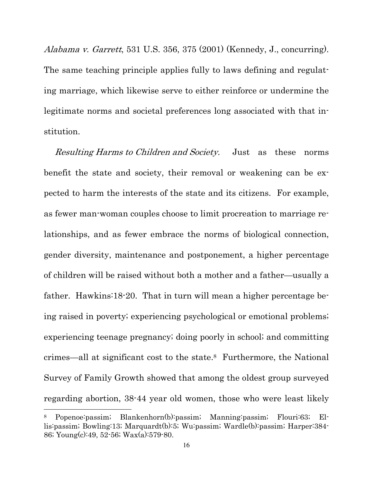Alabama v. Garrett, 531 U.S. 356, 375 (2001) (Kennedy, J., concurring). The same teaching principle applies fully to laws defining and regulating marriage, which likewise serve to either reinforce or undermine the legitimate norms and societal preferences long associated with that institution.

Resulting Harms to Children and Society. Just as these norms benefit the state and society, their removal or weakening can be expected to harm the interests of the state and its citizens. For example, as fewer man-woman couples choose to limit procreation to marriage relationships, and as fewer embrace the norms of biological connection, gender diversity, maintenance and postponement, a higher percentage of children will be raised without both a mother and a father—usually a father. Hawkins:18-20. That in turn will mean a higher percentage being raised in poverty; experiencing psychological or emotional problems; experiencing teenage pregnancy; doing poorly in school; and committing crimes—all at significant cost to the state.8 Furthermore, the National Survey of Family Growth showed that among the oldest group surveyed regarding abortion, 38-44 year old women, those who were least likely

 $\overline{a}$ 

<sup>8</sup> Popenoe:passim; Blankenhorn(b):passim; Manning:passim; Flouri:63; Ellis:passim; Bowling:13; Marquardt(b):5; Wu:passim; Wardle(b):passim; Harper:384- 86; Young(c):49, 52-56; Wax(a):579-80.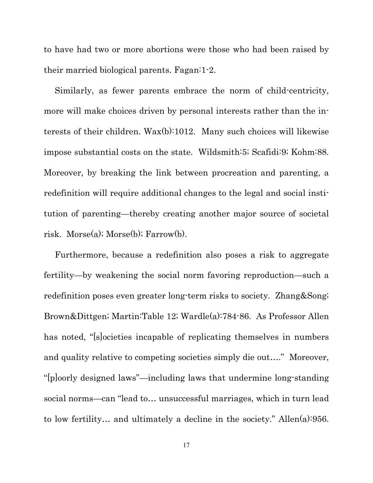to have had two or more abortions were those who had been raised by their married biological parents. Fagan:1-2.

Similarly, as fewer parents embrace the norm of child-centricity, more will make choices driven by personal interests rather than the interests of their children. Wax(b):1012. Many such choices will likewise impose substantial costs on the state. Wildsmith:5; Scafidi:9; Kohm:88. Moreover, by breaking the link between procreation and parenting, a redefinition will require additional changes to the legal and social institution of parenting—thereby creating another major source of societal risk. Morse(a); Morse(b); Farrow(b).

Furthermore, because a redefinition also poses a risk to aggregate fertility—by weakening the social norm favoring reproduction—such a redefinition poses even greater long-term risks to society. Zhang&Song; Brown&Dittgen; Martin:Table 12; Wardle(a):784-86. As Professor Allen has noted, "[s]ocieties incapable of replicating themselves in numbers and quality relative to competing societies simply die out…." Moreover, "[p]oorly designed laws"—including laws that undermine long-standing social norms—can "lead to… unsuccessful marriages, which in turn lead to low fertility… and ultimately a decline in the society." Allen(a):956.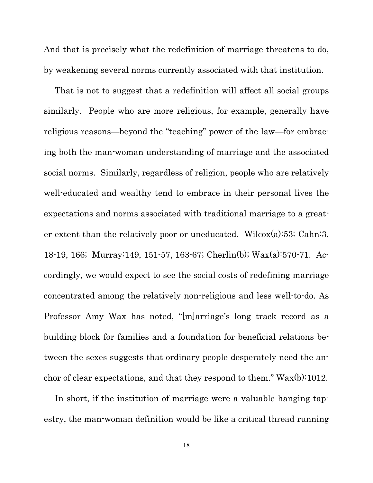And that is precisely what the redefinition of marriage threatens to do, by weakening several norms currently associated with that institution.

That is not to suggest that a redefinition will affect all social groups similarly. People who are more religious, for example, generally have religious reasons—beyond the "teaching" power of the law—for embracing both the man-woman understanding of marriage and the associated social norms. Similarly, regardless of religion, people who are relatively well-educated and wealthy tend to embrace in their personal lives the expectations and norms associated with traditional marriage to a greater extent than the relatively poor or uneducated. Wilcox(a):53; Cahn:3, 18-19, 166; Murray:149, 151-57, 163-67; Cherlin(b); Wax(a):570-71. Accordingly, we would expect to see the social costs of redefining marriage concentrated among the relatively non-religious and less well-to-do. As Professor Amy Wax has noted, "[m]arriage's long track record as a building block for families and a foundation for beneficial relations between the sexes suggests that ordinary people desperately need the anchor of clear expectations, and that they respond to them." Wax(b):1012.

In short, if the institution of marriage were a valuable hanging tapestry, the man-woman definition would be like a critical thread running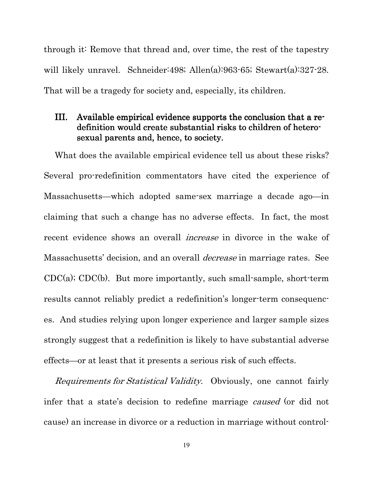through it: Remove that thread and, over time, the rest of the tapestry will likely unravel. Schneider:498; Allen(a):963-65; Stewart(a):327-28. That will be a tragedy for society and, especially, its children.

### III. Available empirical evidence supports the conclusion that a redefinition would create substantial risks to children of heterosexual parents and, hence, to society.

What does the available empirical evidence tell us about these risks? Several pro-redefinition commentators have cited the experience of Massachusetts—which adopted same-sex marriage a decade ago—in claiming that such a change has no adverse effects. In fact, the most recent evidence shows an overall increase in divorce in the wake of Massachusetts' decision, and an overall *decrease* in marriage rates. See CDC(a); CDC(b). But more importantly, such small-sample, short-term results cannot reliably predict a redefinition's longer-term consequences. And studies relying upon longer experience and larger sample sizes strongly suggest that a redefinition is likely to have substantial adverse effects—or at least that it presents a serious risk of such effects.

Requirements for Statistical Validity. Obviously, one cannot fairly infer that a state's decision to redefine marriage *caused* (or did not cause) an increase in divorce or a reduction in marriage without control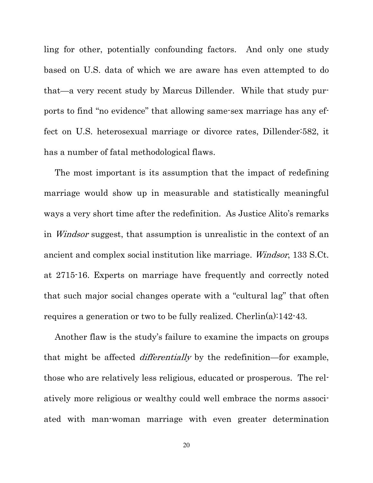ling for other, potentially confounding factors. And only one study based on U.S. data of which we are aware has even attempted to do that—a very recent study by Marcus Dillender. While that study purports to find "no evidence" that allowing same-sex marriage has any effect on U.S. heterosexual marriage or divorce rates, Dillender:582, it has a number of fatal methodological flaws.

The most important is its assumption that the impact of redefining marriage would show up in measurable and statistically meaningful ways a very short time after the redefinition. As Justice Alito's remarks in *Windsor* suggest, that assumption is unrealistic in the context of an ancient and complex social institution like marriage. Windsor, 133 S.Ct. at 2715-16. Experts on marriage have frequently and correctly noted that such major social changes operate with a "cultural lag" that often requires a generation or two to be fully realized. Cherlin(a):142-43.

Another flaw is the study's failure to examine the impacts on groups that might be affected *differentially* by the redefinition—for example, those who are relatively less religious, educated or prosperous. The relatively more religious or wealthy could well embrace the norms associated with man-woman marriage with even greater determination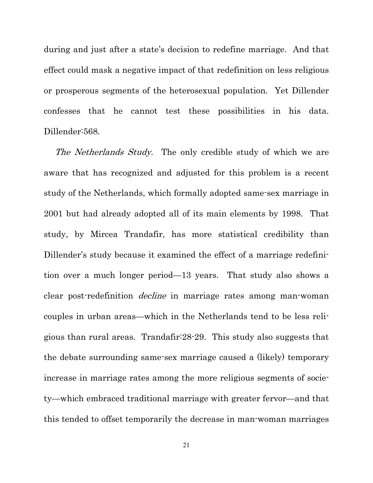during and just after a state's decision to redefine marriage. And that effect could mask a negative impact of that redefinition on less religious or prosperous segments of the heterosexual population. Yet Dillender confesses that he cannot test these possibilities in his data. Dillender:568.

The Netherlands Study. The only credible study of which we are aware that has recognized and adjusted for this problem is a recent study of the Netherlands, which formally adopted same-sex marriage in 2001 but had already adopted all of its main elements by 1998. That study, by Mircea Trandafir, has more statistical credibility than Dillender's study because it examined the effect of a marriage redefinition over a much longer period—13 years. That study also shows a clear post-redefinition *decline* in marriage rates among man-woman couples in urban areas—which in the Netherlands tend to be less religious than rural areas. Trandafir:28-29. This study also suggests that the debate surrounding same-sex marriage caused a (likely) temporary increase in marriage rates among the more religious segments of society—which embraced traditional marriage with greater fervor—and that this tended to offset temporarily the decrease in man-woman marriages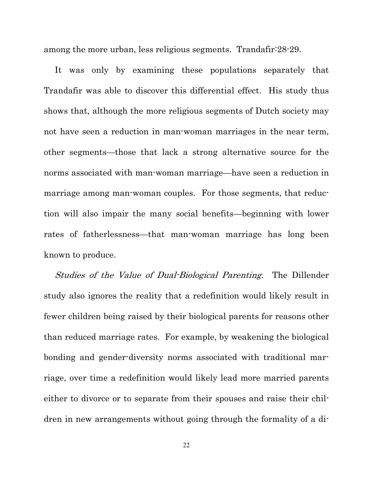among the more urban, less religious segments. Trandafir:28-29.

It was only by examining these populations separately that Trandafir was able to discover this differential effect. His study thus shows that, although the more religious segments of Dutch society may not have seen a reduction in man-woman marriages in the near term, other segments—those that lack a strong alternative source for the norms associated with man-woman marriage—have seen a reduction in marriage among man-woman couples. For those segments, that reduction will also impair the many social benefits—beginning with lower rates of fatherlessness—that man-woman marriage has long been known to produce.

Studies of the Value of Dual-Biological Parenting. The Dillender study also ignores the reality that a redefinition would likely result in fewer children being raised by their biological parents for reasons other than reduced marriage rates. For example, by weakening the biological bonding and gender-diversity norms associated with traditional marriage, over time a redefinition would likely lead more married parents either to divorce or to separate from their spouses and raise their children in new arrangements without going through the formality of a di-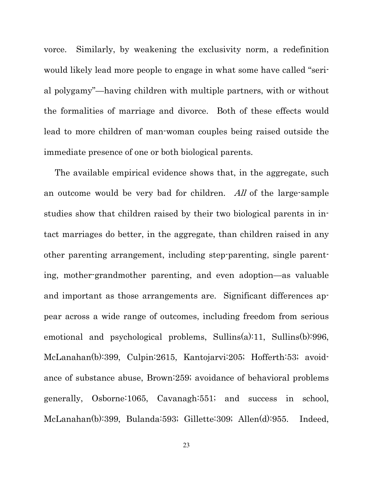vorce. Similarly, by weakening the exclusivity norm, a redefinition would likely lead more people to engage in what some have called "serial polygamy"—having children with multiple partners, with or without the formalities of marriage and divorce. Both of these effects would lead to more children of man-woman couples being raised outside the immediate presence of one or both biological parents.

The available empirical evidence shows that, in the aggregate, such an outcome would be very bad for children. All of the large-sample studies show that children raised by their two biological parents in intact marriages do better, in the aggregate, than children raised in any other parenting arrangement, including step-parenting, single parenting, mother-grandmother parenting, and even adoption—as valuable and important as those arrangements are. Significant differences appear across a wide range of outcomes, including freedom from serious emotional and psychological problems, Sullins(a):11, Sullins(b):996, McLanahan(b):399, Culpin:2615, Kantojarvi:205; Hofferth:53; avoidance of substance abuse, Brown:259; avoidance of behavioral problems generally, Osborne:1065, Cavanagh:551; and success in school, McLanahan(b):399, Bulanda:593; Gillette:309; Allen(d):955. Indeed,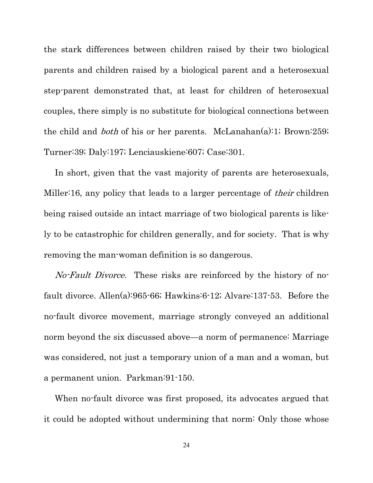the stark differences between children raised by their two biological parents and children raised by a biological parent and a heterosexual step-parent demonstrated that, at least for children of heterosexual couples, there simply is no substitute for biological connections between the child and both of his or her parents. McLanahan(a):1; Brown:259; Turner:39; Daly:197; Lenciauskiene:607; Case:301.

In short, given that the vast majority of parents are heterosexuals, Miller:16, any policy that leads to a larger percentage of *their* children being raised outside an intact marriage of two biological parents is likely to be catastrophic for children generally, and for society. That is why removing the man-woman definition is so dangerous.

No-Fault Divorce. These risks are reinforced by the history of nofault divorce. Allen(a):965-66; Hawkins:6-12; Alvare:137-53. Before the no-fault divorce movement, marriage strongly conveyed an additional norm beyond the six discussed above—a norm of permanence: Marriage was considered, not just a temporary union of a man and a woman, but a permanent union. Parkman:91-150.

When no-fault divorce was first proposed, its advocates argued that it could be adopted without undermining that norm: Only those whose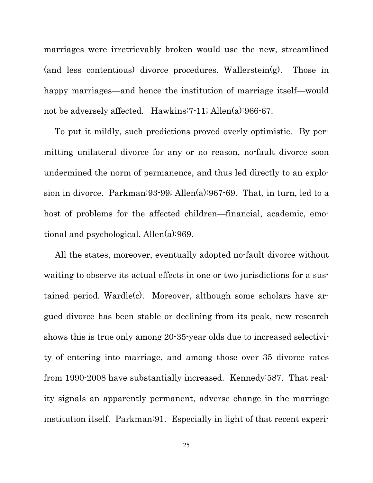marriages were irretrievably broken would use the new, streamlined (and less contentious) divorce procedures. Wallerstein(g). Those in happy marriages—and hence the institution of marriage itself—would not be adversely affected. Hawkins:7-11; Allen(a):966-67.

To put it mildly, such predictions proved overly optimistic. By permitting unilateral divorce for any or no reason, no-fault divorce soon undermined the norm of permanence, and thus led directly to an explosion in divorce. Parkman:93-99; Allen(a):967-69. That, in turn, led to a host of problems for the affected children—financial, academic, emotional and psychological. Allen(a):969.

All the states, moreover, eventually adopted no-fault divorce without waiting to observe its actual effects in one or two jurisdictions for a sustained period. Wardle(c). Moreover, although some scholars have argued divorce has been stable or declining from its peak, new research shows this is true only among 20-35-year olds due to increased selectivity of entering into marriage, and among those over 35 divorce rates from 1990-2008 have substantially increased. Kennedy:587. That reality signals an apparently permanent, adverse change in the marriage institution itself. Parkman:91. Especially in light of that recent experi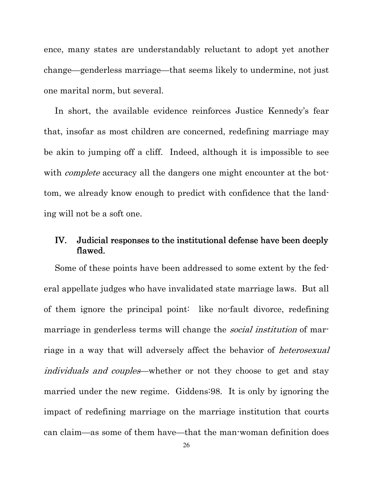ence, many states are understandably reluctant to adopt yet another change—genderless marriage—that seems likely to undermine, not just one marital norm, but several.

In short, the available evidence reinforces Justice Kennedy's fear that, insofar as most children are concerned, redefining marriage may be akin to jumping off a cliff. Indeed, although it is impossible to see with *complete* accuracy all the dangers one might encounter at the bottom, we already know enough to predict with confidence that the landing will not be a soft one.

#### IV. Judicial responses to the institutional defense have been deeply flawed.

Some of these points have been addressed to some extent by the federal appellate judges who have invalidated state marriage laws. But all of them ignore the principal point: like no-fault divorce, redefining marriage in genderless terms will change the *social institution* of marriage in a way that will adversely affect the behavior of *heterosexual* individuals and couples—whether or not they choose to get and stay married under the new regime. Giddens:98. It is only by ignoring the impact of redefining marriage on the marriage institution that courts can claim—as some of them have—that the man-woman definition does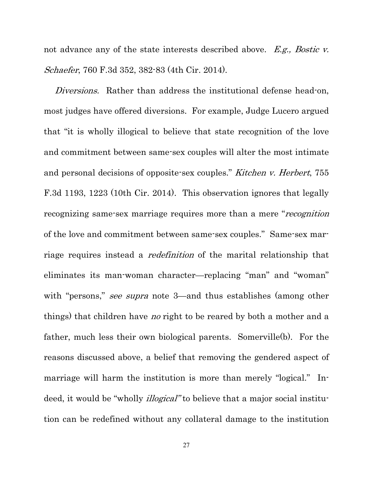not advance any of the state interests described above. E.g., Bostic v. Schaefer, 760 F.3d 352, 382-83 (4th Cir. 2014).

Diversions. Rather than address the institutional defense head-on, most judges have offered diversions. For example, Judge Lucero argued that "it is wholly illogical to believe that state recognition of the love and commitment between same-sex couples will alter the most intimate and personal decisions of opposite-sex couples." Kitchen v. Herbert, 755 F.3d 1193, 1223 (10th Cir. 2014). This observation ignores that legally recognizing same-sex marriage requires more than a mere "recognition" of the love and commitment between same-sex couples." Same-sex marriage requires instead a *redefinition* of the marital relationship that eliminates its man-woman character—replacing "man" and "woman" with "persons," see supra note 3—and thus establishes (among other things) that children have *no* right to be reared by both a mother and a father, much less their own biological parents. Somerville(b). For the reasons discussed above, a belief that removing the gendered aspect of marriage will harm the institution is more than merely "logical." Indeed, it would be "wholly *illogical*" to believe that a major social institution can be redefined without any collateral damage to the institution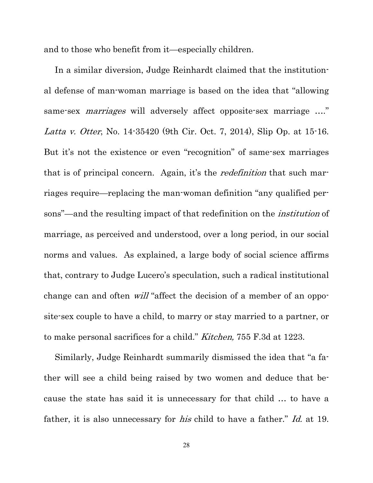and to those who benefit from it—especially children.

In a similar diversion, Judge Reinhardt claimed that the institutional defense of man-woman marriage is based on the idea that "allowing same-sex *marriages* will adversely affect opposite-sex marriage ...." Latta v. Otter, No. 14-35420 (9th Cir. Oct. 7, 2014), Slip Op. at 15-16. But it's not the existence or even "recognition" of same-sex marriages that is of principal concern. Again, it's the *redefinition* that such marriages require—replacing the man-woman definition "any qualified persons"—and the resulting impact of that redefinition on the institution of marriage, as perceived and understood, over a long period, in our social norms and values. As explained, a large body of social science affirms that, contrary to Judge Lucero's speculation, such a radical institutional change can and often *will* "affect the decision of a member of an opposite-sex couple to have a child, to marry or stay married to a partner, or to make personal sacrifices for a child." *Kitchen*, 755 F.3d at 1223.

Similarly, Judge Reinhardt summarily dismissed the idea that "a father will see a child being raised by two women and deduce that because the state has said it is unnecessary for that child … to have a father, it is also unnecessary for *his* child to have a father." Id. at 19.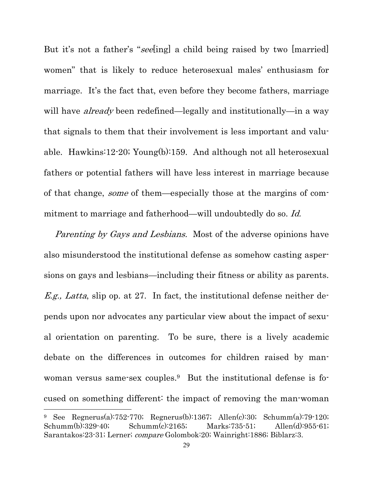But it's not a father's "seeling] a child being raised by two [married] women" that is likely to reduce heterosexual males' enthusiasm for marriage. It's the fact that, even before they become fathers, marriage will have *already* been redefined—legally and institutionally—in a way that signals to them that their involvement is less important and valuable. Hawkins:12-20; Young(b):159. And although not all heterosexual fathers or potential fathers will have less interest in marriage because of that change, *some* of them—especially those at the margins of commitment to marriage and fatherhood—will undoubtedly do so. Id.

Parenting by Gays and Lesbians. Most of the adverse opinions have also misunderstood the institutional defense as somehow casting aspersions on gays and lesbians—including their fitness or ability as parents. *E.g., Latta*, slip op. at 27. In fact, the institutional defense neither depends upon nor advocates any particular view about the impact of sexual orientation on parenting. To be sure, there is a lively academic debate on the differences in outcomes for children raised by manwoman versus same-sex couples.9 But the institutional defense is focused on something different: the impact of removing the man-woman

 $\overline{a}$ 

<sup>9</sup> See Regnerus(a):752-770; Regnerus(b):1367; Allen(c):30; Schumm(a):79-120; Schumm(b):329-40; Schumm(c):2165; Marks:735-51; Allen(d):955-61; Sarantakos:23-31; Lerner; compare Golombok:20; Wainright:1886; Biblarz:3.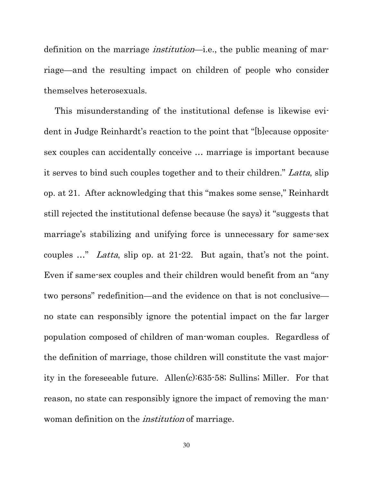definition on the marriage institution—i.e., the public meaning of marriage—and the resulting impact on children of people who consider themselves heterosexuals.

This misunderstanding of the institutional defense is likewise evident in Judge Reinhardt's reaction to the point that "[b]ecause oppositesex couples can accidentally conceive … marriage is important because it serves to bind such couples together and to their children." Latta, slip op. at 21. After acknowledging that this "makes some sense," Reinhardt still rejected the institutional defense because (he says) it "suggests that marriage's stabilizing and unifying force is unnecessary for same-sex couples …" Latta, slip op. at 21-22. But again, that's not the point. Even if same-sex couples and their children would benefit from an "any two persons" redefinition—and the evidence on that is not conclusive no state can responsibly ignore the potential impact on the far larger population composed of children of man-woman couples. Regardless of the definition of marriage, those children will constitute the vast majority in the foreseeable future. Allen(c):635-58; Sullins; Miller. For that reason, no state can responsibly ignore the impact of removing the manwoman definition on the *institution* of marriage.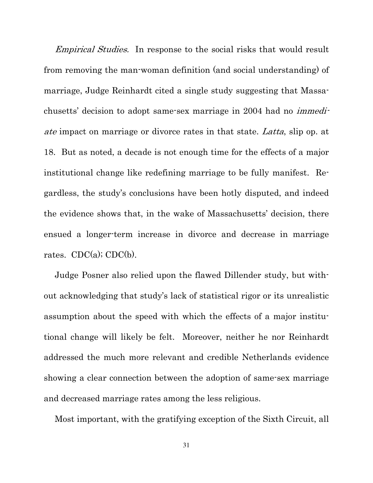Empirical Studies. In response to the social risks that would result from removing the man-woman definition (and social understanding) of marriage, Judge Reinhardt cited a single study suggesting that Massachusetts' decision to adopt same-sex marriage in 2004 had no immediate impact on marriage or divorce rates in that state. Latta, slip op. at 18. But as noted, a decade is not enough time for the effects of a major institutional change like redefining marriage to be fully manifest. Regardless, the study's conclusions have been hotly disputed, and indeed the evidence shows that, in the wake of Massachusetts' decision, there ensued a longer-term increase in divorce and decrease in marriage rates.  $CDC(a)$ ;  $CDC(b)$ .

Judge Posner also relied upon the flawed Dillender study, but without acknowledging that study's lack of statistical rigor or its unrealistic assumption about the speed with which the effects of a major institutional change will likely be felt. Moreover, neither he nor Reinhardt addressed the much more relevant and credible Netherlands evidence showing a clear connection between the adoption of same-sex marriage and decreased marriage rates among the less religious.

Most important, with the gratifying exception of the Sixth Circuit, all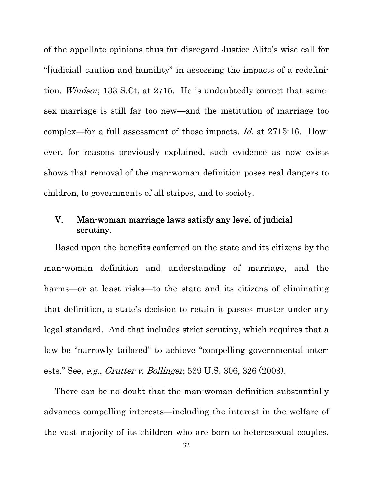of the appellate opinions thus far disregard Justice Alito's wise call for "[judicial] caution and humility" in assessing the impacts of a redefinition. Windsor, 133 S.Ct. at 2715. He is undoubtedly correct that samesex marriage is still far too new—and the institution of marriage too complex—for a full assessment of those impacts. Id. at 2715-16. However, for reasons previously explained, such evidence as now exists shows that removal of the man-woman definition poses real dangers to children, to governments of all stripes, and to society.

### V. Man-woman marriage laws satisfy any level of judicial scrutiny.

Based upon the benefits conferred on the state and its citizens by the man-woman definition and understanding of marriage, and the harms—or at least risks—to the state and its citizens of eliminating that definition, a state's decision to retain it passes muster under any legal standard. And that includes strict scrutiny, which requires that a law be "narrowly tailored" to achieve "compelling governmental interests." See, e.g., Grutter v. Bollinger, 539 U.S. 306, 326 (2003).

There can be no doubt that the man-woman definition substantially advances compelling interests—including the interest in the welfare of the vast majority of its children who are born to heterosexual couples.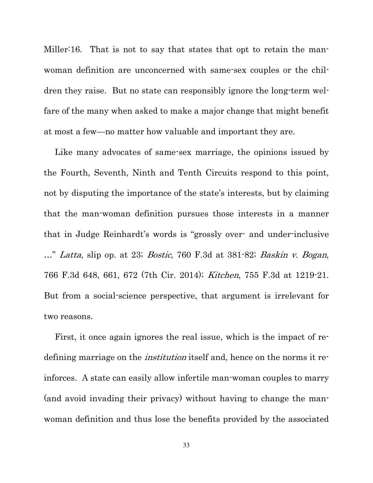Miller:16. That is not to say that states that opt to retain the manwoman definition are unconcerned with same-sex couples or the children they raise. But no state can responsibly ignore the long-term welfare of the many when asked to make a major change that might benefit at most a few—no matter how valuable and important they are.

Like many advocates of same-sex marriage, the opinions issued by the Fourth, Seventh, Ninth and Tenth Circuits respond to this point, not by disputing the importance of the state's interests, but by claiming that the man-woman definition pursues those interests in a manner that in Judge Reinhardt's words is "grossly over- and under-inclusive ..." Latta, slip op. at 23; Bostic, 760 F.3d at 381-82; Baskin v. Bogan, 766 F.3d 648, 661, 672 (7th Cir. 2014); Kitchen, 755 F.3d at 1219-21. But from a social-science perspective, that argument is irrelevant for two reasons.

First, it once again ignores the real issue, which is the impact of redefining marriage on the *institution* itself and, hence on the norms it reinforces. A state can easily allow infertile man-woman couples to marry (and avoid invading their privacy) without having to change the manwoman definition and thus lose the benefits provided by the associated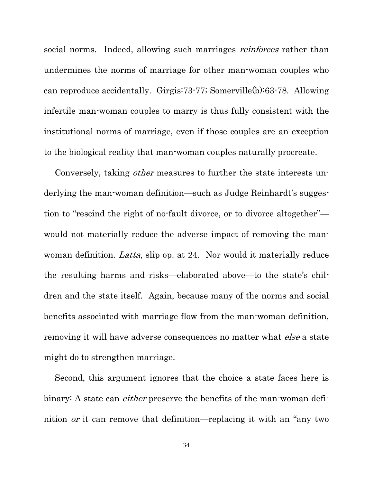social norms. Indeed, allowing such marriages *reinforces* rather than undermines the norms of marriage for other man-woman couples who can reproduce accidentally. Girgis:73-77; Somerville(b):63-78. Allowing infertile man-woman couples to marry is thus fully consistent with the institutional norms of marriage, even if those couples are an exception to the biological reality that man-woman couples naturally procreate.

Conversely, taking *other* measures to further the state interests underlying the man-woman definition—such as Judge Reinhardt's suggestion to "rescind the right of no-fault divorce, or to divorce altogether" would not materially reduce the adverse impact of removing the manwoman definition. Latta, slip op. at 24. Nor would it materially reduce the resulting harms and risks—elaborated above—to the state's children and the state itself. Again, because many of the norms and social benefits associated with marriage flow from the man-woman definition, removing it will have adverse consequences no matter what *else* a state might do to strengthen marriage.

Second, this argument ignores that the choice a state faces here is binary: A state can *either* preserve the benefits of the man-woman definition or it can remove that definition—replacing it with an "any two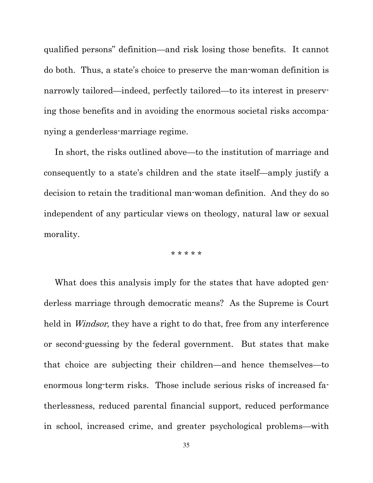qualified persons" definition—and risk losing those benefits. It cannot do both. Thus, a state's choice to preserve the man-woman definition is narrowly tailored—indeed, perfectly tailored—to its interest in preserving those benefits and in avoiding the enormous societal risks accompanying a genderless-marriage regime.

In short, the risks outlined above—to the institution of marriage and consequently to a state's children and the state itself—amply justify a decision to retain the traditional man-woman definition. And they do so independent of any particular views on theology, natural law or sexual morality.

\* \* \* \* \*

What does this analysis imply for the states that have adopted genderless marriage through democratic means? As the Supreme is Court held in *Windsor*, they have a right to do that, free from any interference or second-guessing by the federal government. But states that make that choice are subjecting their children—and hence themselves—to enormous long-term risks. Those include serious risks of increased fatherlessness, reduced parental financial support, reduced performance in school, increased crime, and greater psychological problems—with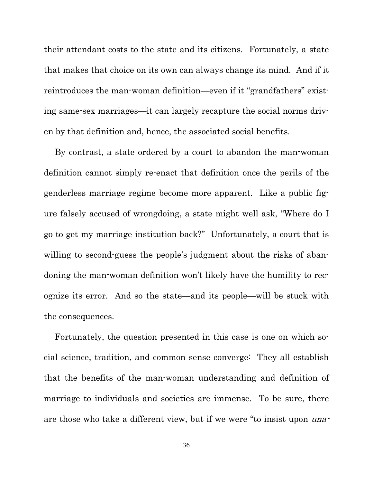their attendant costs to the state and its citizens. Fortunately, a state that makes that choice on its own can always change its mind. And if it reintroduces the man-woman definition—even if it "grandfathers" existing same-sex marriages—it can largely recapture the social norms driven by that definition and, hence, the associated social benefits.

By contrast, a state ordered by a court to abandon the man-woman definition cannot simply re-enact that definition once the perils of the genderless marriage regime become more apparent. Like a public figure falsely accused of wrongdoing, a state might well ask, "Where do I go to get my marriage institution back?" Unfortunately, a court that is willing to second-guess the people's judgment about the risks of abandoning the man-woman definition won't likely have the humility to recognize its error. And so the state—and its people—will be stuck with the consequences.

Fortunately, the question presented in this case is one on which social science, tradition, and common sense converge: They all establish that the benefits of the man-woman understanding and definition of marriage to individuals and societies are immense. To be sure, there are those who take a different view, but if we were "to insist upon una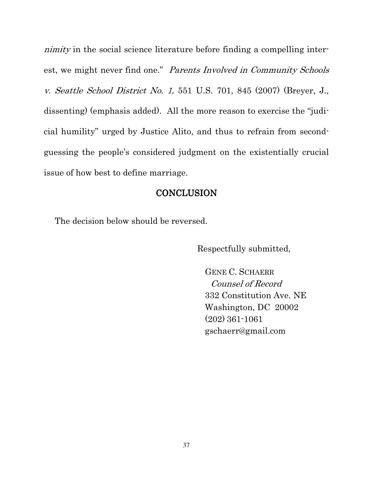nimity in the social science literature before finding a compelling interest, we might never find one." Parents Involved in Community Schools v. Seattle School District No. 1, 551 U.S. 701, 845 (2007) (Breyer, J., dissenting) (emphasis added). All the more reason to exercise the "judicial humility" urged by Justice Alito, and thus to refrain from secondguessing the people's considered judgment on the existentially crucial issue of how best to define marriage.

#### **CONCLUSION**

The decision below should be reversed.

Respectfully submitted,

GENE C. SCHAERR Counsel of Record 332 Constitution Ave. NE Washington, DC 20002 (202) 361-1061 gschaerr@gmail.com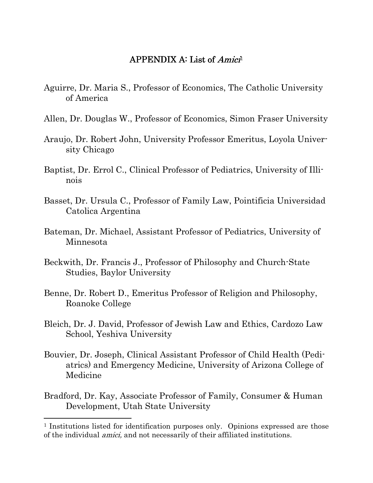#### APPENDIX A: List of *Amici*<sup>1</sup>

- Aguirre, Dr. Maria S., Professor of Economics, The Catholic University of America
- Allen, Dr. Douglas W., Professor of Economics, Simon Fraser University
- Araujo, Dr. Robert John, University Professor Emeritus, Loyola University Chicago
- Baptist, Dr. Errol C., Clinical Professor of Pediatrics, University of Illinois
- Basset, Dr. Ursula C., Professor of Family Law, Pointificia Universidad Catolica Argentina
- Bateman, Dr. Michael, Assistant Professor of Pediatrics, University of Minnesota
- Beckwith, Dr. Francis J., Professor of Philosophy and Church-State Studies, Baylor University
- Benne, Dr. Robert D., Emeritus Professor of Religion and Philosophy, Roanoke College
- Bleich, Dr. J. David, Professor of Jewish Law and Ethics, Cardozo Law School, Yeshiva University
- Bouvier, Dr. Joseph, Clinical Assistant Professor of Child Health (Pediatrics) and Emergency Medicine, University of Arizona College of Medicine
- Bradford, Dr. Kay, Associate Professor of Family, Consumer & Human Development, Utah State University

 $\overline{a}$ 

<sup>&</sup>lt;sup>1</sup> Institutions listed for identification purposes only. Opinions expressed are those of the individual amici, and not necessarily of their affiliated institutions.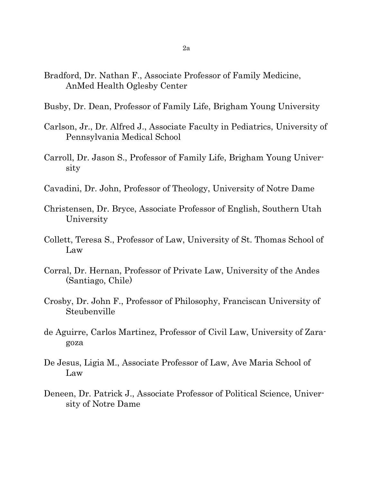- Bradford, Dr. Nathan F., Associate Professor of Family Medicine, AnMed Health Oglesby Center
- Busby, Dr. Dean, Professor of Family Life, Brigham Young University
- Carlson, Jr., Dr. Alfred J., Associate Faculty in Pediatrics, University of Pennsylvania Medical School
- Carroll, Dr. Jason S., Professor of Family Life, Brigham Young University
- Cavadini, Dr. John, Professor of Theology, University of Notre Dame
- Christensen, Dr. Bryce, Associate Professor of English, Southern Utah University
- Collett, Teresa S., Professor of Law, University of St. Thomas School of Law
- Corral, Dr. Hernan, Professor of Private Law, University of the Andes (Santiago, Chile)
- Crosby, Dr. John F., Professor of Philosophy, Franciscan University of Steubenville
- de Aguirre, Carlos Martinez, Professor of Civil Law, University of Zaragoza
- De Jesus, Ligia M., Associate Professor of Law, Ave Maria School of Law
- Deneen, Dr. Patrick J., Associate Professor of Political Science, University of Notre Dame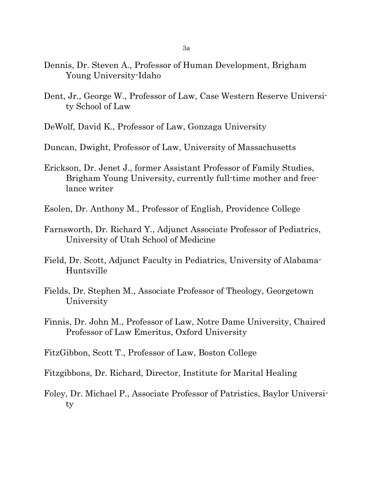- Dennis, Dr. Steven A., Professor of Human Development, Brigham Young University-Idaho
- Dent, Jr., George W., Professor of Law, Case Western Reserve University School of Law
- DeWolf, David K., Professor of Law, Gonzaga University
- Duncan, Dwight, Professor of Law, University of Massachusetts
- Erickson, Dr. Jenet J., former Assistant Professor of Family Studies, Brigham Young University, currently full-time mother and freelance writer
- Esolen, Dr. Anthony M., Professor of English, Providence College
- Farnsworth, Dr. Richard Y., Adjunct Associate Professor of Pediatrics, University of Utah School of Medicine
- Field, Dr. Scott, Adjunct Faculty in Pediatrics, University of Alabama-Huntsville
- Fields, Dr. Stephen M., Associate Professor of Theology, Georgetown University
- Finnis, Dr. John M., Professor of Law, Notre Dame University, Chaired Professor of Law Emeritus, Oxford University
- FitzGibbon, Scott T., Professor of Law, Boston College
- Fitzgibbons, Dr. Richard, Director, Institute for Marital Healing
- Foley, Dr. Michael P., Associate Professor of Patristics, Baylor University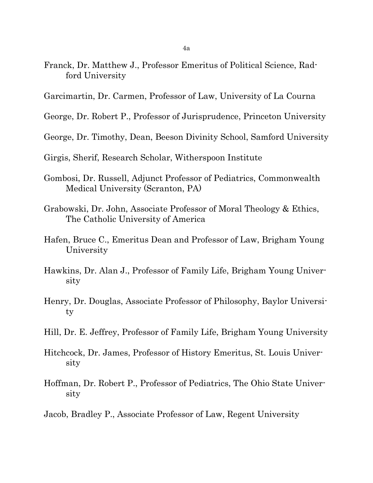- 4a
- Franck, Dr. Matthew J., Professor Emeritus of Political Science, Radford University
- Garcimartin, Dr. Carmen, Professor of Law, University of La Courna
- George, Dr. Robert P., Professor of Jurisprudence, Princeton University
- George, Dr. Timothy, Dean, Beeson Divinity School, Samford University
- Girgis, Sherif, Research Scholar, Witherspoon Institute
- Gombosi, Dr. Russell, Adjunct Professor of Pediatrics, Commonwealth Medical University (Scranton, PA)
- Grabowski, Dr. John, Associate Professor of Moral Theology & Ethics, The Catholic University of America
- Hafen, Bruce C., Emeritus Dean and Professor of Law, Brigham Young University
- Hawkins, Dr. Alan J., Professor of Family Life, Brigham Young University
- Henry, Dr. Douglas, Associate Professor of Philosophy, Baylor University
- Hill, Dr. E. Jeffrey, Professor of Family Life, Brigham Young University
- Hitchcock, Dr. James, Professor of History Emeritus, St. Louis University
- Hoffman, Dr. Robert P., Professor of Pediatrics, The Ohio State University
- Jacob, Bradley P., Associate Professor of Law, Regent University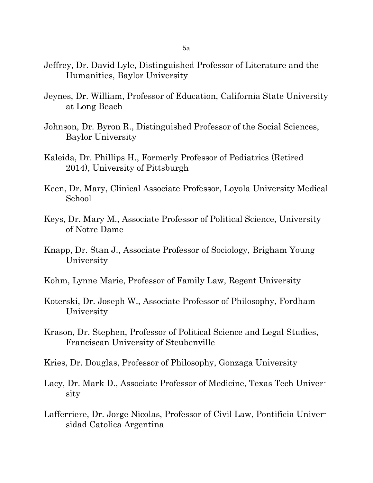- Jeffrey, Dr. David Lyle, Distinguished Professor of Literature and the Humanities, Baylor University
- Jeynes, Dr. William, Professor of Education, California State University at Long Beach
- Johnson, Dr. Byron R., Distinguished Professor of the Social Sciences, Baylor University
- Kaleida, Dr. Phillips H., Formerly Professor of Pediatrics (Retired 2014), University of Pittsburgh
- Keen, Dr. Mary, Clinical Associate Professor, Loyola University Medical School
- Keys, Dr. Mary M., Associate Professor of Political Science, University of Notre Dame
- Knapp, Dr. Stan J., Associate Professor of Sociology, Brigham Young University
- Kohm, Lynne Marie, Professor of Family Law, Regent University
- Koterski, Dr. Joseph W., Associate Professor of Philosophy, Fordham University
- Krason, Dr. Stephen, Professor of Political Science and Legal Studies, Franciscan University of Steubenville
- Kries, Dr. Douglas, Professor of Philosophy, Gonzaga University
- Lacy, Dr. Mark D., Associate Professor of Medicine, Texas Tech University
- Lafferriere, Dr. Jorge Nicolas, Professor of Civil Law, Pontificia Universidad Catolica Argentina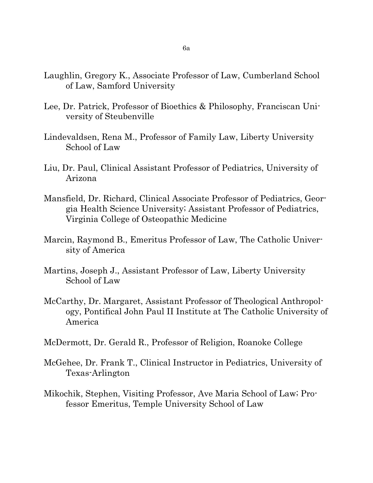- Laughlin, Gregory K., Associate Professor of Law, Cumberland School of Law, Samford University
- Lee, Dr. Patrick, Professor of Bioethics & Philosophy, Franciscan University of Steubenville
- Lindevaldsen, Rena M., Professor of Family Law, Liberty University School of Law
- Liu, Dr. Paul, Clinical Assistant Professor of Pediatrics, University of Arizona
- Mansfield, Dr. Richard, Clinical Associate Professor of Pediatrics, Georgia Health Science University; Assistant Professor of Pediatrics, Virginia College of Osteopathic Medicine
- Marcin, Raymond B., Emeritus Professor of Law, The Catholic University of America
- Martins, Joseph J., Assistant Professor of Law, Liberty University School of Law
- McCarthy, Dr. Margaret, Assistant Professor of Theological Anthropology, Pontifical John Paul II Institute at The Catholic University of America
- McDermott, Dr. Gerald R., Professor of Religion, Roanoke College
- McGehee, Dr. Frank T., Clinical Instructor in Pediatrics, University of Texas-Arlington
- Mikochik, Stephen, Visiting Professor, Ave Maria School of Law; Professor Emeritus, Temple University School of Law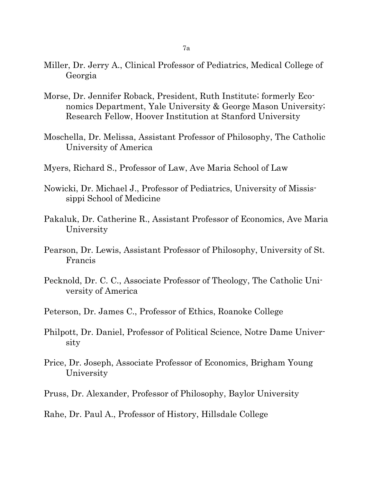- Miller, Dr. Jerry A., Clinical Professor of Pediatrics, Medical College of Georgia
- Morse, Dr. Jennifer Roback, President, Ruth Institute; formerly Economics Department, Yale University & George Mason University; Research Fellow, Hoover Institution at Stanford University
- Moschella, Dr. Melissa, Assistant Professor of Philosophy, The Catholic University of America
- Myers, Richard S., Professor of Law, Ave Maria School of Law
- Nowicki, Dr. Michael J., Professor of Pediatrics, University of Mississippi School of Medicine
- Pakaluk, Dr. Catherine R., Assistant Professor of Economics, Ave Maria University
- Pearson, Dr. Lewis, Assistant Professor of Philosophy, University of St. Francis
- Pecknold, Dr. C. C., Associate Professor of Theology, The Catholic University of America
- Peterson, Dr. James C., Professor of Ethics, Roanoke College
- Philpott, Dr. Daniel, Professor of Political Science, Notre Dame University
- Price, Dr. Joseph, Associate Professor of Economics, Brigham Young University
- Pruss, Dr. Alexander, Professor of Philosophy, Baylor University
- Rahe, Dr. Paul A., Professor of History, Hillsdale College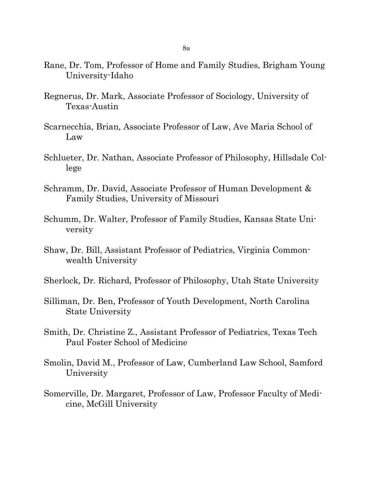- Rane, Dr. Tom, Professor of Home and Family Studies, Brigham Young University-Idaho
- Regnerus, Dr. Mark, Associate Professor of Sociology, University of Texas-Austin
- Scarnecchia, Brian, Associate Professor of Law, Ave Maria School of Law
- Schlueter, Dr. Nathan, Associate Professor of Philosophy, Hillsdale College
- Schramm, Dr. David, Associate Professor of Human Development & Family Studies, University of Missouri
- Schumm, Dr. Walter, Professor of Family Studies, Kansas State University
- Shaw, Dr. Bill, Assistant Professor of Pediatrics, Virginia Commonwealth University
- Sherlock, Dr. Richard, Professor of Philosophy, Utah State University
- Silliman, Dr. Ben, Professor of Youth Development, North Carolina State University
- Smith, Dr. Christine Z., Assistant Professor of Pediatrics, Texas Tech Paul Foster School of Medicine
- Smolin, David M., Professor of Law, Cumberland Law School, Samford University
- Somerville, Dr. Margaret, Professor of Law, Professor Faculty of Medicine, McGill University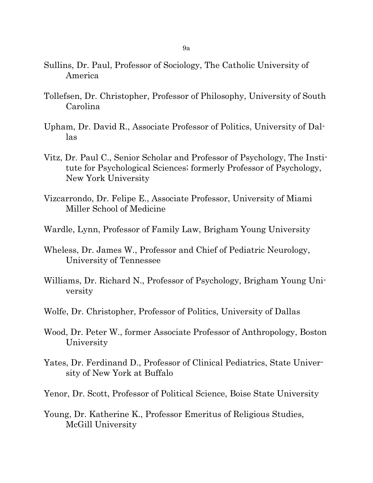- Sullins, Dr. Paul, Professor of Sociology, The Catholic University of America
- Tollefsen, Dr. Christopher, Professor of Philosophy, University of South Carolina
- Upham, Dr. David R., Associate Professor of Politics, University of Dallas
- Vitz, Dr. Paul C., Senior Scholar and Professor of Psychology, The Institute for Psychological Sciences; formerly Professor of Psychology, New York University
- Vizcarrondo, Dr. Felipe E., Associate Professor, University of Miami Miller School of Medicine
- Wardle, Lynn, Professor of Family Law, Brigham Young University
- Wheless, Dr. James W., Professor and Chief of Pediatric Neurology, University of Tennessee
- Williams, Dr. Richard N., Professor of Psychology, Brigham Young University
- Wolfe, Dr. Christopher, Professor of Politics, University of Dallas
- Wood, Dr. Peter W., former Associate Professor of Anthropology, Boston University
- Yates, Dr. Ferdinand D., Professor of Clinical Pediatrics, State University of New York at Buffalo
- Yenor, Dr. Scott, Professor of Political Science, Boise State University
- Young, Dr. Katherine K., Professor Emeritus of Religious Studies, McGill University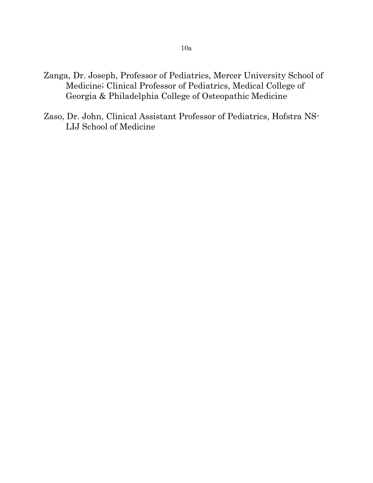- Zanga, Dr. Joseph, Professor of Pediatrics, Mercer University School of Medicine; Clinical Professor of Pediatrics, Medical College of Georgia & Philadelphia College of Osteopathic Medicine
- Zaso, Dr. John, Clinical Assistant Professor of Pediatrics, Hofstra NS-LIJ School of Medicine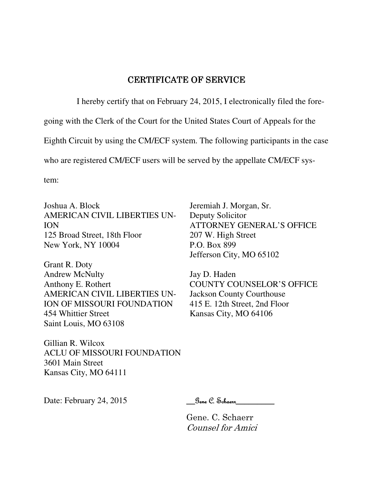#### CERTIFICATE OF SERVICE

I hereby certify that on February 24, 2015, I electronically filed the fore-

going with the Clerk of the Court for the United States Court of Appeals for the

Eighth Circuit by using the CM/ECF system. The following participants in the case

who are registered CM/ECF users will be served by the appellate CM/ECF sys-

tem:

Joshua A. Block AMERICAN CIVIL LIBERTIES UN-ION 125 Broad Street, 18th Floor New York, NY 10004

Grant R. Doty Andrew McNulty Anthony E. Rothert AMERICAN CIVIL LIBERTIES UN-ION OF MISSOURI FOUNDATION 454 Whittier Street Saint Louis, MO 63108

Gillian R. Wilcox ACLU OF MISSOURI FOUNDATION 3601 Main Street Kansas City, MO 64111

Jeremiah J. Morgan, Sr. Deputy Solicitor ATTORNEY GENERAL'S OFFICE 207 W. High Street P.O. Box 899 Jefferson City, MO 65102

Jay D. Haden COUNTY COUNSELOR'S OFFICE Jackson County Courthouse 415 E. 12th Street, 2nd Floor Kansas City, MO 64106

Date: February 24, 2015 Sene C. Schaenr

 Gene. C. Schaerr Counsel for Amici